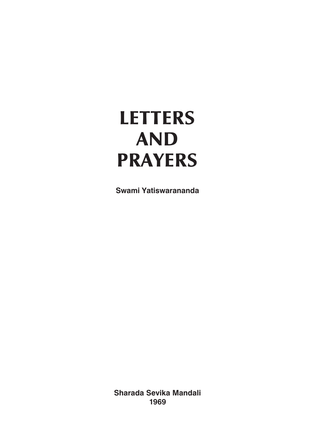# **LETTERS AND PRAYERS**

**Swami Yatiswarananda**

**Sharada Sevika Mandali 1969**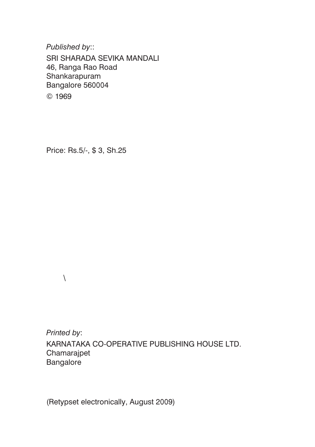*Published by*::

SRI SHARADA SEVIKA MANDALI 46, Ranga Rao Road Shankarapuram Bangalore 560004 © 1969

Price: Rs.5/-, \$ 3, Sh.25

 $\setminus$ 

*Printed by*: KARNATAKA CO-OPERATIVE PUBLISHING HOUSE LTD. Chamarajpet Bangalore

(Retypset electronically, August 2009)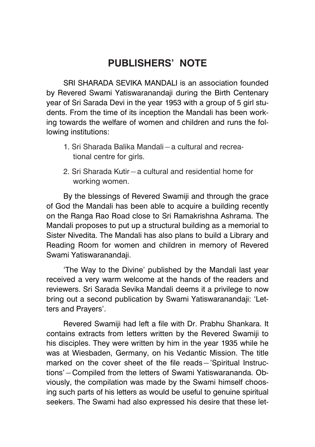# <span id="page-2-0"></span>**PUBLISHERS' NOTE**

SRI SHARADA SEVIKA MANDALI is an association founded by Revered Swami Yatiswaranandaji during the Birth Centenary year of Sri Sarada Devi in the year 1953 with a group of 5 girl students. From the time of its inception the Mandali has been working towards the welfare of women and children and runs the following institutions:

- 1. Sri Sharada Balika Mandali—a cultural and recreational centre for girls.
- 2. Sri Sharada Kutir—a cultural and residential home for working women.

By the blessings of Revered Swamiji and through the grace of God the Mandali has been able to acquire a building recently on the Ranga Rao Road close to Sri Ramakrishna Ashrama. The Mandali proposes to put up a structural building as a memorial to Sister Nivedita. The Mandali has also plans to build a Library and Reading Room for women and children in memory of Revered Swami Yatiswaranandaji.

'The Way to the Divine' published by the Mandali last year received a very warm welcome at the hands of the readers and reviewers. Sri Sarada Sevika Mandali deems it a privilege to now bring out a second publication by Swami Yatiswaranandaji: 'Letters and Prayers'.

Revered Swamiji had left a file with Dr. Prabhu Shankara. It contains extracts from letters written by the Revered Swamiji to his disciples. They were written by him in the year 1935 while he was at Wiesbaden, Germany, on his Vedantic Mission. The title marked on the cover sheet of the file reads—'Spiritual Instructions'—Compiled from the letters of Swami Yatiswarananda. Obviously, the compilation was made by the Swami himself choosing such parts of his letters as would be useful to genuine spiritual seekers. The Swami had also expressed his desire that these let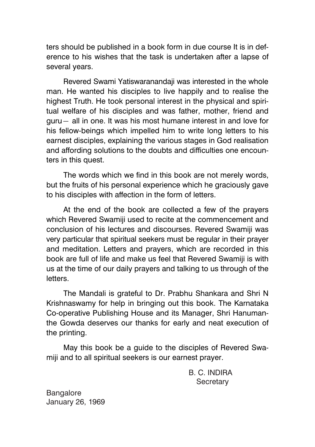ters should be published in a book form in due course It is in deference to his wishes that the task is undertaken after a lapse of several years.

Revered Swami Yatiswaranandaji was interested in the whole man. He wanted his disciples to live happily and to realise the highest Truth. He took personal interest in the physical and spiritual welfare of his disciples and was father, mother, friend and guru— all in one. It was his most humane interest in and love for his fellow-beings which impelled him to write long letters to his earnest disciples, explaining the various stages in God realisation and affording solutions to the doubts and difficulties one encounters in this quest.

The words which we find in this book are not merely words, but the fruits of his personal experience which he graciously gave to his disciples with affection in the form of letters.

At the end of the book are collected a few of the prayers which Revered Swamiji used to recite at the commencement and conclusion of his lectures and discourses. Revered Swamiji was very particular that spiritual seekers must be regular in their prayer and meditation. Letters and prayers, which are recorded in this book are full of life and make us feel that Revered Swamiji is with us at the time of our daily prayers and talking to us through of the letters.

The Mandali is grateful to Dr. Prabhu Shankara and Shri N Krishnaswamy for help in bringing out this book. The Karnataka Co-operative Publishing House and its Manager, Shri Hanumanthe Gowda deserves our thanks for early and neat execution of the printing.

May this book be a guide to the disciples of Revered Swamiji and to all spiritual seekers is our earnest prayer.

> B. C. INDIRA **Secretary**

Bangalore January 26, 1969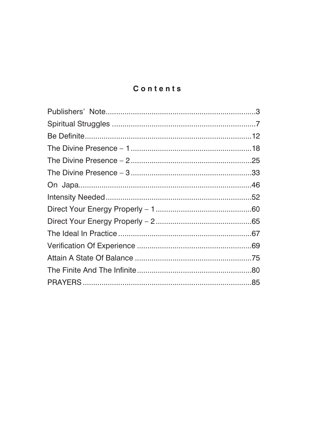### Contents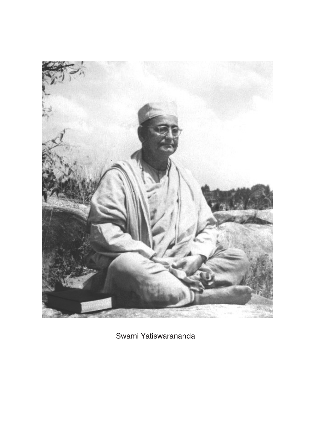

Swami Yatiswarananda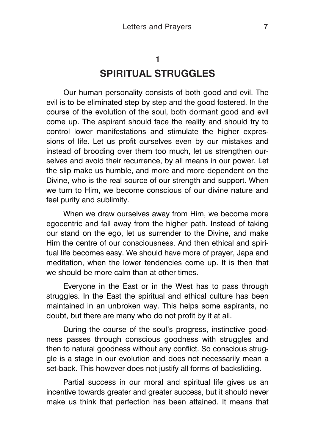# <span id="page-6-0"></span>**1 SPIRITUAL STRUGGLES**

Our human personality consists of both good and evil. The evil is to be eliminated step by step and the good fostered. In the course of the evolution of the soul, both dormant good and evil come up. The aspirant should face the reality and should try to control lower manifestations and stimulate the higher expressions of life. Let us profit ourselves even by our mistakes and instead of brooding over them too much, let us strengthen ourselves and avoid their recurrence, by all means in our power. Let the slip make us humble, and more and more dependent on the Divine, who is the real source of our strength and support. When we turn to Him, we become conscious of our divine nature and feel purity and sublimity.

When we draw ourselves away from Him, we become more egocentric and fall away from the higher path. Instead of taking our stand on the ego, let us surrender to the Divine, and make Him the centre of our consciousness. And then ethical and spiritual life becomes easy. We should have more of prayer, Japa and meditation, when the lower tendencies come up. It is then that we should be more calm than at other times.

Everyone in the East or in the West has to pass through struggles. In the East the spiritual and ethical culture has been maintained in an unbroken way. This helps some aspirants, no doubt, but there are many who do not profit by it at all.

During the course of the soul's progress, instinctive goodness passes through conscious goodness with struggles and then to natural goodness without any conflict. So conscious struggle is a stage in our evolution and does not necessarily mean a set-back. This however does not justify all forms of backsliding.

Partial success in our moral and spiritual life gives us an incentive towards greater and greater success, but it should never make us think that perfection has been attained. It means that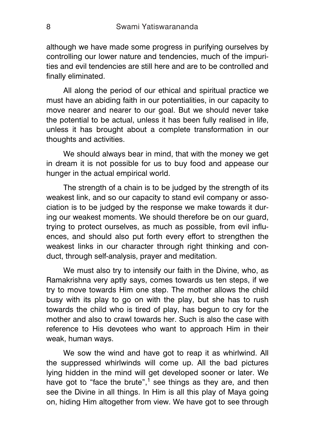although we have made some progress in purifying ourselves by controlling our lower nature and tendencies, much of the impurities and evil tendencies are still here and are to be controlled and finally eliminated.

All along the period of our ethical and spiritual practice we must have an abiding faith in our potentialities, in our capacity to move nearer and nearer to our goal. But we should never take the potential to be actual, unless it has been fully realised in life, unless it has brought about a complete transformation in our thoughts and activities.

We should always bear in mind, that with the money we get in dream it is not possible for us to buy food and appease our hunger in the actual empirical world.

The strength of a chain is to be judged by the strength of its weakest link, and so our capacity to stand evil company or association is to be judged by the response we make towards it during our weakest moments. We should therefore be on our guard, trying to protect ourselves, as much as possible, from evil influences, and should also put forth every effort to strengthen the weakest links in our character through right thinking and conduct, through self-analysis, prayer and meditation.

We must also try to intensify our faith in the Divine, who, as Ramakrishna very aptly says, comes towards us ten steps, if we try to move towards Him one step. The mother allows the child busy with its play to go on with the play, but she has to rush towards the child who is tired of play, has begun to cry for the mother and also to crawl towards her. Such is also the case with reference to His devotees who want to approach Him in their weak, human ways.

We sow the wind and have got to reap it as whirlwind. All the suppressed whirlwinds will come up. All the bad pictures lying hidden in the mind will get developed sooner or later. We have got to "face the brute",<sup>1</sup> see things as they are, and then see the Divine in all things. In Him is all this play of Maya going on, hiding Him altogether from view. We have got to see through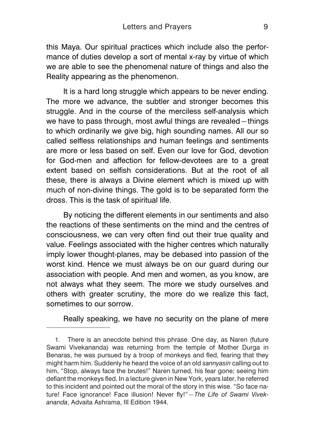this Maya. Our spiritual practices which include also the performance of duties develop a sort of mental x-ray by virtue of which we are able to see the phenomenal nature of things and also the Reality appearing as the phenomenon.

It is a hard long struggle which appears to be never ending. The more we advance, the subtler and stronger becomes this struggle. And in the course of the merciless self-analysis which we have to pass through, most awful things are revealed - things to which ordinarily we give big, high sounding names. All our so called selfless relationships and human feelings and sentiments are more or less based on self. Even our love for God, devotion for God-men and affection for fellow-devotees are to a great extent based on selfish considerations. But at the root of all these, there is always a Divine element which is mixed up with much of non-divine things. The gold is to be separated form the dross. This is the task of spiritual life.

By noticing the different elements in our sentiments and also the reactions of these sentiments on the mind and the centres of consciousness, we can very often find out their true quality and value. Feelings associated with the higher centres which naturally imply lower thought-planes, may be debased into passion of the worst kind. Hence we must always be on our guard during our association with people. And men and women, as you know, are not always what they seem. The more we study ourselves and others with greater scrutiny, the more do we realize this fact, sometimes to our sorrow.

Really speaking, we have no security on the plane of mere

<sup>1.</sup> There is an anecdote behind this phrase. One day, as Naren (future Swami Vivekananda) was returning from the temple of Mother Durga in Benaras, he was pursued by a troop of monkeys and fled, fearing that they might harm him. Suddenly he heard the voice of an old *sannyasin* calling out to him, "Stop, always face the brutes!" Naren turned, his fear gone; seeing him defiant the monkeys fled. In a lecture given in New York, years later, he referred to this incident and pointed out the moral of the story in this wise. "So face nature! Face ignorance! Face illusion! Never fly!"—*The Life of Swami Vivekananda*, Advaita Ashrama, III Edition 1944.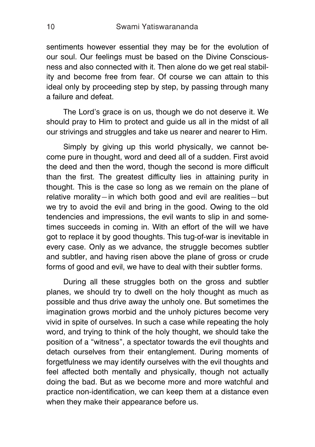sentiments however essential they may be for the evolution of our soul. Our feelings must be based on the Divine Consciousness and also connected with it. Then alone do we get real stability and become free from fear. Of course we can attain to this ideal only by proceeding step by step, by passing through many a failure and defeat.

The Lord's grace is on us, though we do not deserve it. We should pray to Him to protect and guide us all in the midst of all our strivings and struggles and take us nearer and nearer to Him.

Simply by giving up this world physically, we cannot become pure in thought, word and deed all of a sudden. First avoid the deed and then the word, though the second is more difficult than the first. The greatest difficulty lies in attaining purity in thought. This is the case so long as we remain on the plane of relative morality—in which both good and evil are realities—but we try to avoid the evil and bring in the good. Owing to the old tendencies and impressions, the evil wants to slip in and sometimes succeeds in coming in. With an effort of the will we have got to replace it by good thoughts. This tug-of-war is inevitable in every case. Only as we advance, the struggle becomes subtler and subtler, and having risen above the plane of gross or crude forms of good and evil, we have to deal with their subtler forms.

During all these struggles both on the gross and subtler planes, we should try to dwell on the holy thought as much as possible and thus drive away the unholy one. But sometimes the imagination grows morbid and the unholy pictures become very vivid in spite of ourselves. In such a case while repeating the holy word, and trying to think of the holy thought, we should take the position of a "witness", a spectator towards the evil thoughts and detach ourselves from their entanglement. During moments of forgetfulness we may identify ourselves with the evil thoughts and feel affected both mentally and physically, though not actually doing the bad. But as we become more and more watchful and practice non-identification, we can keep them at a distance even when they make their appearance before us.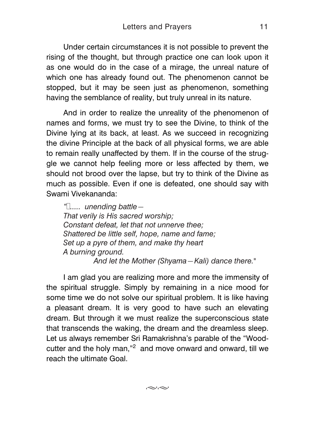Under certain circumstances it is not possible to prevent the rising of the thought, but through practice one can look upon it as one would do in the case of a mirage, the unreal nature of which one has already found out. The phenomenon cannot be stopped, but it may be seen just as phenomenon, something having the semblance of reality, but truly unreal in its nature.

And in order to realize the unreality of the phenomenon of names and forms, we must try to see the Divine, to think of the Divine lying at its back, at least. As we succeed in recognizing the divine Principle at the back of all physical forms, we are able to remain really unaffected by them. If in the course of the struggle we cannot help feeling more or less affected by them, we should not brood over the lapse, but try to think of the Divine as much as possible. Even if one is defeated, one should say with Swami Vivekananda:

*"…..... unending battle— That verily is His sacred worship; Constant defeat, let that not unnerve thee; Shattered be little self, hope, name and fame; Set up a pyre of them, and make thy heart A burning ground. And let the Mother (Shyama—Kali) dance there."*

I am glad you are realizing more and more the immensity of the spiritual struggle. Simply by remaining in a nice mood for some time we do not solve our spiritual problem. It is like having a pleasant dream. It is very good to have such an elevating dream. But through it we must realize the superconscious state that transcends the waking, the dream and the dreamless sleep. Let us always remember Sri Ramakrishna's parable of the "Woodcutter and the holy man," $2$  and move onward and onward, till we reach the ultimate Goal.

 $\approx$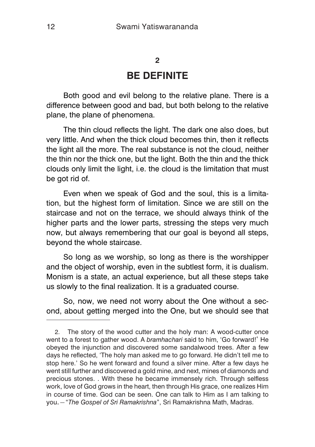#### <span id="page-11-0"></span>**2**

### **BE DEFINITE**

Both good and evil belong to the relative plane. There is a difference between good and bad, but both belong to the relative plane, the plane of phenomena.

The thin cloud reflects the light. The dark one also does, but very little. And when the thick cloud becomes thin, then it reflects the light all the more. The real substance is not the cloud, neither the thin nor the thick one, but the light. Both the thin and the thick clouds only limit the light, i.e. the cloud is the limitation that must be got rid of.

Even when we speak of God and the soul, this is a limitation, but the highest form of limitation. Since we are still on the staircase and not on the terrace, we should always think of the higher parts and the lower parts, stressing the steps very much now, but always remembering that our goal is beyond all steps, beyond the whole staircase.

So long as we worship, so long as there is the worshipper and the object of worship, even in the subtlest form, it is dualism. Monism is a state, an actual experience, but all these steps take us slowly to the final realization. It is a graduated course.

So, now, we need not worry about the One without a second, about getting merged into the One, but we should see that

<sup>2.</sup> The story of the wood cutter and the holy man: A wood-cutter once went to a forest to gather wood. A *bramhachari* said to him, 'Go forward!' He obeyed the injunction and discovered some sandalwood trees. After a few days he reflected, 'The holy man asked me to go forward. He didn't tell me to stop here.' So he went forward and found a silver mine. After a few days he went still further and discovered a gold mine, and next, mines of diamonds and precious stones. . With these he became immensely rich. Through selfless work, love of God grows in the heart, then through His grace, one realizes Him in course of time. God can be seen. One can talk to Him as I am talking to you.—"*The Gospel of Sri Ramakrishna*", Sri Ramakrishna Math, Madras.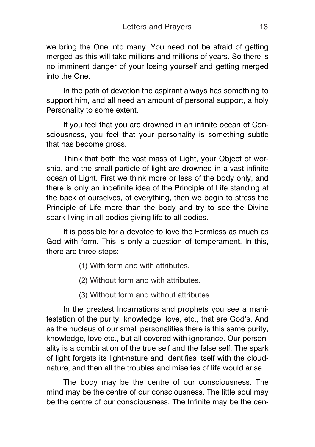we bring the One into many. You need not be afraid of getting merged as this will take millions and millions of years. So there is no imminent danger of your losing yourself and getting merged into the One.

In the path of devotion the aspirant always has something to support him, and all need an amount of personal support, a holy Personality to some extent.

If you feel that you are drowned in an infinite ocean of Consciousness, you feel that your personality is something subtle that has become gross.

Think that both the vast mass of Light, your Object of worship, and the small particle of light are drowned in a vast infinite ocean of Light. First we think more or less of the body only, and there is only an indefinite idea of the Principle of Life standing at the back of ourselves, of everything, then we begin to stress the Principle of Life more than the body and try to see the Divine spark living in all bodies giving life to all bodies.

It is possible for a devotee to love the Formless as much as God with form. This is only a question of temperament. In this, there are three steps:

- (1) With form and with attributes.
- (2) Without form and with attributes.
- (3) Without form and without attributes.

In the greatest Incarnations and prophets you see a manifestation of the purity, knowledge, love, etc., that are God's. And as the nucleus of our small personalities there is this same purity, knowledge, love etc., but all covered with ignorance. Our personality is a combination of the true self and the false self. The spark of light forgets its light-nature and identifies itself with the cloudnature, and then all the troubles and miseries of life would arise.

The body may be the centre of our consciousness. The mind may be the centre of our consciousness. The little soul may be the centre of our consciousness. The Infinite may be the cen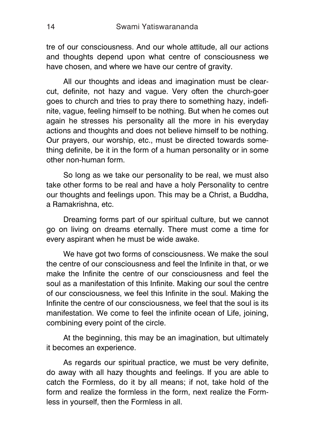tre of our consciousness. And our whole attitude, all our actions and thoughts depend upon what centre of consciousness we have chosen, and where we have our centre of gravity.

All our thoughts and ideas and imagination must be clearcut, definite, not hazy and vague. Very often the church-goer goes to church and tries to pray there to something hazy, indefinite, vague, feeling himself to be nothing. But when he comes out again he stresses his personality all the more in his everyday actions and thoughts and does not believe himself to be nothing. Our prayers, our worship, etc., must be directed towards something definite, be it in the form of a human personality or in some other non-human form.

So long as we take our personality to be real, we must also take other forms to be real and have a holy Personality to centre our thoughts and feelings upon. This may be a Christ, a Buddha, a Ramakrishna, etc.

Dreaming forms part of our spiritual culture, but we cannot go on living on dreams eternally. There must come a time for every aspirant when he must be wide awake.

We have got two forms of consciousness. We make the soul the centre of our consciousness and feel the Infinite in that, or we make the Infinite the centre of our consciousness and feel the soul as a manifestation of this Infinite. Making our soul the centre of our consciousness, we feel this Infinite in the soul. Making the Infinite the centre of our consciousness, we feel that the soul is its manifestation. We come to feel the infinite ocean of Life, joining, combining every point of the circle.

At the beginning, this may be an imagination, but ultimately it becomes an experience.

As regards our spiritual practice, we must be very definite, do away with all hazy thoughts and feelings. If you are able to catch the Formless, do it by all means; if not, take hold of the form and realize the formless in the form, next realize the Formless in yourself, then the Formless in all.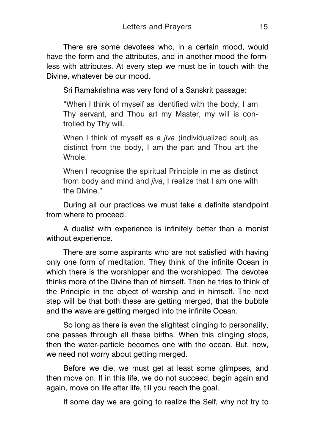There are some devotees who, in a certain mood, would have the form and the attributes, and in another mood the formless with attributes. At every step we must be in touch with the Divine, whatever be our mood.

Sri Ramakrishna was very fond of a Sanskrit passage:

"When I think of myself as identified with the body, I am Thy servant, and Thou art my Master, my will is controlled by Thy will.

When I think of myself as a *jiva* (individualized soul) as distinct from the body, I am the part and Thou art the Whole.

When I recognise the spiritual Principle in me as distinct from body and mind and *jiva*, I realize that I am one with the Divine."

During all our practices we must take a definite standpoint from where to proceed.

A dualist with experience is infinitely better than a monist without experience.

There are some aspirants who are not satisfied with having only one form of meditation. They think of the infinite Ocean in which there is the worshipper and the worshipped. The devotee thinks more of the Divine than of himself. Then he tries to think of the Principle in the object of worship and in himself. The next step will be that both these are getting merged, that the bubble and the wave are getting merged into the infinite Ocean.

So long as there is even the slightest clinging to personality, one passes through all these births. When this clinging stops, then the water-particle becomes one with the ocean. But, now, we need not worry about getting merged.

Before we die, we must get at least some glimpses, and then move on. If in this life, we do not succeed, begin again and again, move on life after life, till you reach the goal.

If some day we are going to realize the Self, why not try to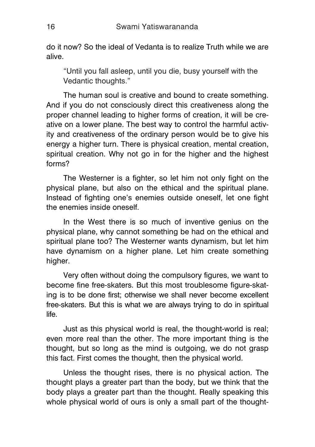do it now? So the ideal of Vedanta is to realize Truth while we are alive.

"Until you fall asleep, until you die, busy yourself with the Vedantic thoughts."

The human soul is creative and bound to create something. And if you do not consciously direct this creativeness along the proper channel leading to higher forms of creation, it will be creative on a lower plane. The best way to control the harmful activity and creativeness of the ordinary person would be to give his energy a higher turn. There is physical creation, mental creation, spiritual creation. Why not go in for the higher and the highest forms?

The Westerner is a fighter, so let him not only fight on the physical plane, but also on the ethical and the spiritual plane. Instead of fighting one's enemies outside oneself, let one fight the enemies inside oneself.

In the West there is so much of inventive genius on the physical plane, why cannot something be had on the ethical and spiritual plane too? The Westerner wants dynamism, but let him have dynamism on a higher plane. Let him create something higher.

Very often without doing the compulsory figures, we want to become fine free-skaters. But this most troublesome figure-skating is to be done first; otherwise we shall never become excellent free-skaters. But this is what we are always trying to do in spiritual life.

Just as this physical world is real, the thought-world is real; even more real than the other. The more important thing is the thought, but so long as the mind is outgoing, we do not grasp this fact. First comes the thought, then the physical world.

Unless the thought rises, there is no physical action. The thought plays a greater part than the body, but we think that the body plays a greater part than the thought. Really speaking this whole physical world of ours is only a small part of the thought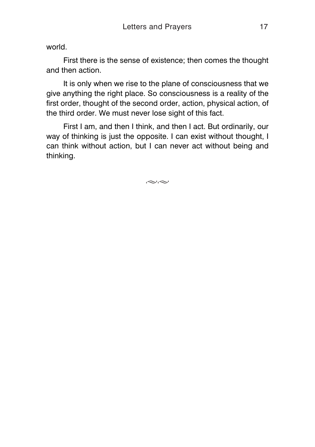world.

First there is the sense of existence; then comes the thought and then action.

It is only when we rise to the plane of consciousness that we give anything the right place. So consciousness is a reality of the first order, thought of the second order, action, physical action, of the third order. We must never lose sight of this fact.

First I am, and then I think, and then I act. But ordinarily, our way of thinking is just the opposite. I can exist without thought, I can think without action, but I can never act without being and thinking.

 $\approx$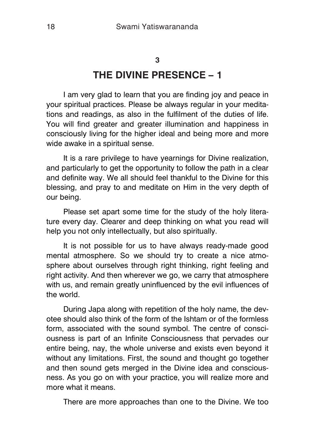#### <span id="page-17-0"></span>**3**

# **THE DIVINE PRESENCE – 1**

I am very glad to learn that you are finding joy and peace in your spiritual practices. Please be always regular in your meditations and readings, as also in the fulfilment of the duties of life. You will find greater and greater illumination and happiness in consciously living for the higher ideal and being more and more wide awake in a spiritual sense.

It is a rare privilege to have yearnings for Divine realization, and particularly to get the opportunity to follow the path in a clear and definite way. We all should feel thankful to the Divine for this blessing, and pray to and meditate on Him in the very depth of our being.

Please set apart some time for the study of the holy literature every day. Clearer and deep thinking on what you read will help you not only intellectually, but also spiritually.

It is not possible for us to have always ready-made good mental atmosphere. So we should try to create a nice atmosphere about ourselves through right thinking, right feeling and right activity. And then wherever we go, we carry that atmosphere with us, and remain greatly uninfluenced by the evil influences of the world.

During Japa along with repetition of the holy name, the devotee should also think of the form of the Ishtam or of the formless form, associated with the sound symbol. The centre of consciousness is part of an Infinite Consciousness that pervades our entire being, nay, the whole universe and exists even beyond it without any limitations. First, the sound and thought go together and then sound gets merged in the Divine idea and consciousness. As you go on with your practice, you will realize more and more what it means.

There are more approaches than one to the Divine. We too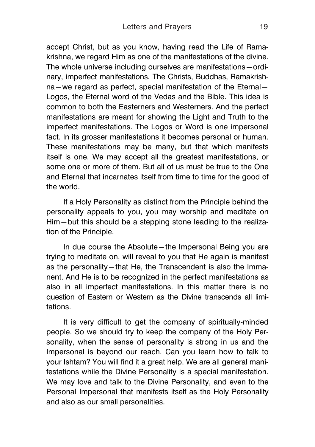accept Christ, but as you know, having read the Life of Ramakrishna, we regard Him as one of the manifestations of the divine. The whole universe including ourselves are manifestations—ordinary, imperfect manifestations. The Christs, Buddhas, Ramakrishna—we regard as perfect, special manifestation of the Eternal— Logos, the Eternal word of the Vedas and the Bible. This idea is common to both the Easterners and Westerners. And the perfect manifestations are meant for showing the Light and Truth to the imperfect manifestations. The Logos or Word is one impersonal fact. In its grosser manifestations it becomes personal or human. These manifestations may be many, but that which manifests itself is one. We may accept all the greatest manifestations, or some one or more of them. But all of us must be true to the One and Eternal that incarnates itself from time to time for the good of the world.

If a Holy Personality as distinct from the Principle behind the personality appeals to you, you may worship and meditate on Him—but this should be a stepping stone leading to the realization of the Principle.

In due course the Absolute—the Impersonal Being you are trying to meditate on, will reveal to you that He again is manifest as the personality—that He, the Transcendent is also the Immanent. And He is to be recognized in the perfect manifestations as also in all imperfect manifestations. In this matter there is no question of Eastern or Western as the Divine transcends all limitations.

It is very difficult to get the company of spiritually-minded people. So we should try to keep the company of the Holy Personality, when the sense of personality is strong in us and the Impersonal is beyond our reach. Can you learn how to talk to your Ishtam? You will find it a great help. We are all general manifestations while the Divine Personality is a special manifestation. We may love and talk to the Divine Personality, and even to the Personal Impersonal that manifests itself as the Holy Personality and also as our small personalities.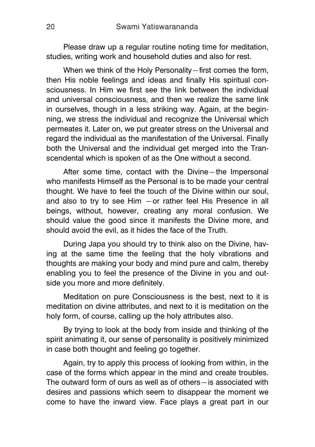Please draw up a regular routine noting time for meditation, studies, writing work and household duties and also for rest.

When we think of the Holy Personality–first comes the form, then His noble feelings and ideas and finally His spiritual consciousness. In Him we first see the link between the individual and universal consciousness, and then we realize the same link in ourselves, though in a less striking way. Again, at the beginning, we stress the individual and recognize the Universal which permeates it. Later on, we put greater stress on the Universal and regard the individual as the manifestation of the Universal. Finally both the Universal and the individual get merged into the Transcendental which is spoken of as the One without a second.

After some time, contact with the Divine—the Impersonal who manifests Himself as the Personal is to be made your central thought. We have to feel the touch of the Divine within our soul, and also to try to see Him —or rather feel His Presence in all beings, without, however, creating any moral confusion. We should value the good since it manifests the Divine more, and should avoid the evil, as it hides the face of the Truth.

During Japa you should try to think also on the Divine, having at the same time the feeling that the holy vibrations and thoughts are making your body and mind pure and calm, thereby enabling you to feel the presence of the Divine in you and outside you more and more definitely.

Meditation on pure Consciousness is the best, next to it is meditation on divine attributes, and next to it is meditation on the holy form, of course, calling up the holy attributes also.

By trying to look at the body from inside and thinking of the spirit animating it, our sense of personality is positively minimized in case both thought and feeling go together.

Again, try to apply this process of looking from within, in the case of the forms which appear in the mind and create troubles. The outward form of ours as well as of others—is associated with desires and passions which seem to disappear the moment we come to have the inward view. Face plays a great part in our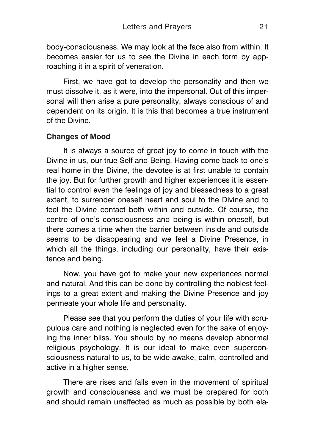body-consciousness. We may look at the face also from within. It becomes easier for us to see the Divine in each form by approaching it in a spirit of veneration.

First, we have got to develop the personality and then we must dissolve it, as it were, into the impersonal. Out of this impersonal will then arise a pure personality, always conscious of and dependent on its origin. It is this that becomes a true instrument of the Divine.

### **Changes of Mood**

It is always a source of great joy to come in touch with the Divine in us, our true Self and Being. Having come back to one's real home in the Divine, the devotee is at first unable to contain the joy. But for further growth and higher experiences it is essential to control even the feelings of joy and blessedness to a great extent, to surrender oneself heart and soul to the Divine and to feel the Divine contact both within and outside. Of course, the centre of one's consciousness and being is within oneself, but there comes a time when the barrier between inside and outside seems to be disappearing and we feel a Divine Presence, in which all the things, including our personality, have their existence and being.

Now, you have got to make your new experiences normal and natural. And this can be done by controlling the noblest feelings to a great extent and making the Divine Presence and joy permeate your whole life and personality.

Please see that you perform the duties of your life with scrupulous care and nothing is neglected even for the sake of enjoying the inner bliss. You should by no means develop abnormal religious psychology. It is our ideal to make even superconsciousness natural to us, to be wide awake, calm, controlled and active in a higher sense.

There are rises and falls even in the movement of spiritual growth and consciousness and we must be prepared for both and should remain unaffected as much as possible by both ela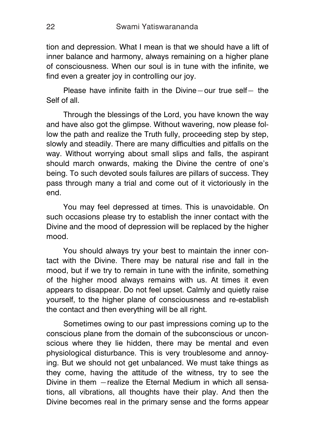tion and depression. What I mean is that we should have a lift of inner balance and harmony, always remaining on a higher plane of consciousness. When our soul is in tune with the infinite, we find even a greater joy in controlling our joy.

Please have infinite faith in the Divine—our true self— the Self of all.

Through the blessings of the Lord, you have known the way and have also got the glimpse. Without wavering, now please follow the path and realize the Truth fully, proceeding step by step, slowly and steadily. There are many difficulties and pitfalls on the way. Without worrying about small slips and falls, the aspirant should march onwards, making the Divine the centre of one's being. To such devoted souls failures are pillars of success. They pass through many a trial and come out of it victoriously in the end.

You may feel depressed at times. This is unavoidable. On such occasions please try to establish the inner contact with the Divine and the mood of depression will be replaced by the higher mood.

You should always try your best to maintain the inner contact with the Divine. There may be natural rise and fall in the mood, but if we try to remain in tune with the infinite, something of the higher mood always remains with us. At times it even appears to disappear. Do not feel upset. Calmly and quietly raise yourself, to the higher plane of consciousness and re-establish the contact and then everything will be all right.

Sometimes owing to our past impressions coming up to the conscious plane from the domain of the subconscious or unconscious where they lie hidden, there may be mental and even physiological disturbance. This is very troublesome and annoying. But we should not get unbalanced. We must take things as they come, having the attitude of the witness, try to see the Divine in them —realize the Eternal Medium in which all sensations, all vibrations, all thoughts have their play. And then the Divine becomes real in the primary sense and the forms appear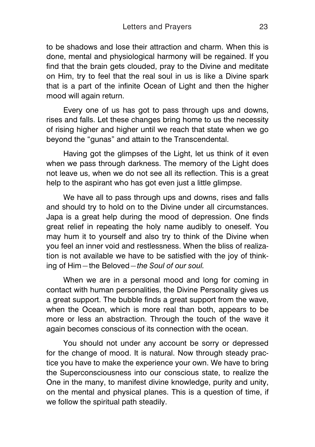to be shadows and lose their attraction and charm. When this is done, mental and physiological harmony will be regained. If you find that the brain gets clouded, pray to the Divine and meditate on Him, try to feel that the real soul in us is like a Divine spark that is a part of the infinite Ocean of Light and then the higher mood will again return.

Every one of us has got to pass through ups and downs, rises and falls. Let these changes bring home to us the necessity of rising higher and higher until we reach that state when we go beyond the "gunas" and attain to the Transcendental.

Having got the glimpses of the Light, let us think of it even when we pass through darkness. The memory of the Light does not leave us, when we do not see all its reflection. This is a great help to the aspirant who has got even just a little glimpse.

We have all to pass through ups and downs, rises and falls and should try to hold on to the Divine under all circumstances. Japa is a great help during the mood of depression. One finds great relief in repeating the holy name audibly to oneself. You may hum it to yourself and also try to think of the Divine when you feel an inner void and restlessness. When the bliss of realization is not available we have to be satisfied with the joy of thinking of Him—the Beloved—*the Soul of our soul.*

When we are in a personal mood and long for coming in contact with human personalities, the Divine Personality gives us a great support. The bubble finds a great support from the wave, when the Ocean, which is more real than both, appears to be more or less an abstraction. Through the touch of the wave it again becomes conscious of its connection with the ocean.

You should not under any account be sorry or depressed for the change of mood. It is natural. Now through steady practice you have to make the experience your own. We have to bring the Superconsciousness into our conscious state, to realize the One in the many, to manifest divine knowledge, purity and unity, on the mental and physical planes. This is a question of time, if we follow the spiritual path steadily.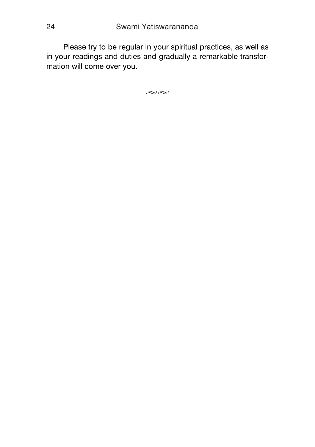Please try to be regular in your spiritual practices, as well as in your readings and duties and gradually a remarkable transformation will come over you.

 $\approx$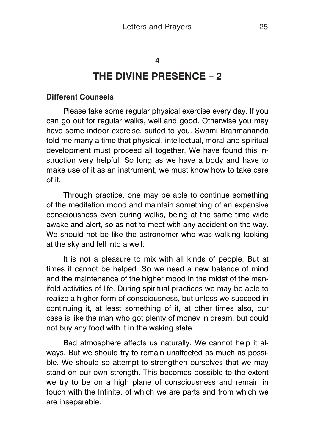#### <span id="page-24-0"></span>**4**

## **THE DIVINE PRESENCE – 2**

#### **Different Counsels**

Please take some regular physical exercise every day. If you can go out for regular walks, well and good. Otherwise you may have some indoor exercise, suited to you. Swami Brahmananda told me many a time that physical, intellectual, moral and spiritual development must proceed all together. We have found this instruction very helpful. So long as we have a body and have to make use of it as an instrument, we must know how to take care of it.

Through practice, one may be able to continue something of the meditation mood and maintain something of an expansive consciousness even during walks, being at the same time wide awake and alert, so as not to meet with any accident on the way. We should not be like the astronomer who was walking looking at the sky and fell into a well.

It is not a pleasure to mix with all kinds of people. But at times it cannot be helped. So we need a new balance of mind and the maintenance of the higher mood in the midst of the manifold activities of life. During spiritual practices we may be able to realize a higher form of consciousness, but unless we succeed in continuing it, at least something of it, at other times also, our case is like the man who got plenty of money in dream, but could not buy any food with it in the waking state.

Bad atmosphere affects us naturally. We cannot help it always. But we should try to remain unaffected as much as possible. We should so attempt to strengthen ourselves that we may stand on our own strength. This becomes possible to the extent we try to be on a high plane of consciousness and remain in touch with the Infinite, of which we are parts and from which we are inseparable.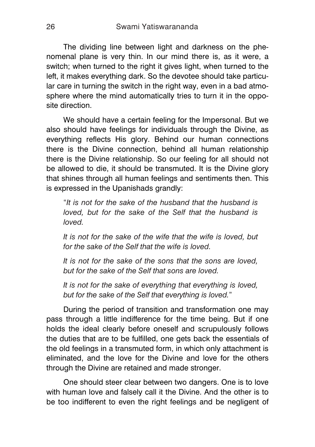The dividing line between light and darkness on the phenomenal plane is very thin. In our mind there is, as it were, a switch; when turned to the right it gives light, when turned to the left, it makes everything dark. So the devotee should take particular care in turning the switch in the right way, even in a bad atmosphere where the mind automatically tries to turn it in the opposite direction.

We should have a certain feeling for the Impersonal. But we also should have feelings for individuals through the Divine, as everything reflects His glory. Behind our human connections there is the Divine connection, behind all human relationship there is the Divine relationship. So our feeling for all should not be allowed to die, it should be transmuted. It is the Divine glory that shines through all human feelings and sentiments then. This is expressed in the Upanishads grandly:

"*It is not for the sake of the husband that the husband is loved, but for the sake of the Self that the husband is loved.*

*It is not for the sake of the wife that the wife is loved, but for the sake of the Self that the wife is loved.*

*It is not for the sake of the sons that the sons are loved, but for the sake of the Self that sons are loved.*

*It is not for the sake of everything that everything is loved, but for the sake of the Self that everything is loved.*"

During the period of transition and transformation one may pass through a little indifference for the time being. But if one holds the ideal clearly before oneself and scrupulously follows the duties that are to be fulfilled, one gets back the essentials of the old feelings in a transmuted form, in which only attachment is eliminated, and the love for the Divine and love for the others through the Divine are retained and made stronger.

One should steer clear between two dangers. One is to love with human love and falsely call it the Divine. And the other is to be too indifferent to even the right feelings and be negligent of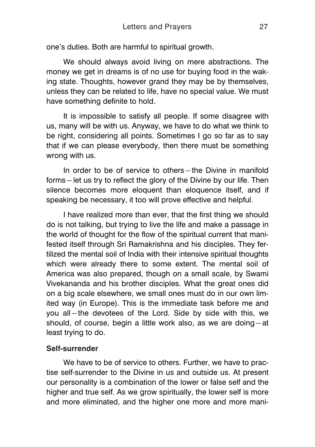one's duties. Both are harmful to spiritual growth.

We should always avoid living on mere abstractions. The money we get in dreams is of no use for buying food in the waking state. Thoughts, however grand they may be by themselves, unless they can be related to life, have no special value. We must have something definite to hold.

It is impossible to satisfy all people. If some disagree with us, many will be with us. Anyway, we have to do what we think to be right, considering all points. Sometimes I go so far as to say that if we can please everybody, then there must be something wrong with us.

In order to be of service to others—the Divine in manifold forms—let us try to reflect the glory of the Divine by our life. Then silence becomes more eloquent than eloquence itself, and if speaking be necessary, it too will prove effective and helpful.

I have realized more than ever, that the first thing we should do is not talking, but trying to live the life and make a passage in the world of thought for the flow of the spiritual current that manifested itself through Sri Ramakrishna and his disciples. They fertilized the mental soil of India with their intensive spiritual thoughts which were already there to some extent. The mental soil of America was also prepared, though on a small scale, by Swami Vivekananda and his brother disciples. What the great ones did on a big scale elsewhere, we small ones must do in our own limited way (in Europe). This is the immediate task before me and you all—the devotees of the Lord. Side by side with this, we should, of course, begin a little work also, as we are doing—at least trying to do.

### **Self-surrender**

We have to be of service to others. Further, we have to practise self-surrender to the Divine in us and outside us. At present our personality is a combination of the lower or false self and the higher and true self. As we grow spiritually, the lower self is more and more eliminated, and the higher one more and more mani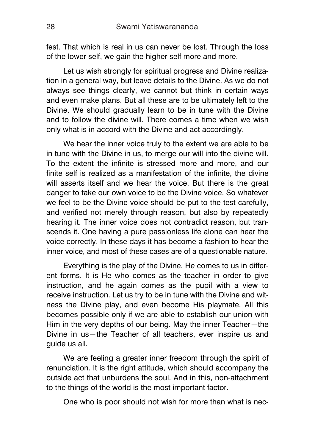fest. That which is real in us can never be lost. Through the loss of the lower self, we gain the higher self more and more.

Let us wish strongly for spiritual progress and Divine realization in a general way, but leave details to the Divine. As we do not always see things clearly, we cannot but think in certain ways and even make plans. But all these are to be ultimately left to the Divine. We should gradually learn to be in tune with the Divine and to follow the divine will. There comes a time when we wish only what is in accord with the Divine and act accordingly.

We hear the inner voice truly to the extent we are able to be in tune with the Divine in us, to merge our will into the divine will. To the extent the infinite is stressed more and more, and our finite self is realized as a manifestation of the infinite, the divine will asserts itself and we hear the voice. But there is the great danger to take our own voice to be the Divine voice. So whatever we feel to be the Divine voice should be put to the test carefully, and verified not merely through reason, but also by repeatedly hearing it. The inner voice does not contradict reason, but transcends it. One having a pure passionless life alone can hear the voice correctly. In these days it has become a fashion to hear the inner voice, and most of these cases are of a questionable nature.

Everything is the play of the Divine. He comes to us in different forms. It is He who comes as the teacher in order to give instruction, and he again comes as the pupil with a view to receive instruction. Let us try to be in tune with the Divine and witness the Divine play, and even become His playmate. All this becomes possible only if we are able to establish our union with Him in the very depths of our being. May the inner Teacher—the Divine in us—the Teacher of all teachers, ever inspire us and guide us all.

We are feeling a greater inner freedom through the spirit of renunciation. It is the right attitude, which should accompany the outside act that unburdens the soul. And in this, non-attachment to the things of the world is the most important factor.

One who is poor should not wish for more than what is nec-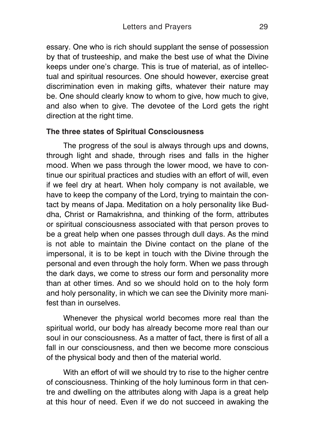essary. One who is rich should supplant the sense of possession by that of trusteeship, and make the best use of what the Divine keeps under one's charge. This is true of material, as of intellectual and spiritual resources. One should however, exercise great discrimination even in making gifts, whatever their nature may be. One should clearly know to whom to give, how much to give, and also when to give. The devotee of the Lord gets the right direction at the right time.

### **The three states of Spiritual Consciousness**

The progress of the soul is always through ups and downs, through light and shade, through rises and falls in the higher mood. When we pass through the lower mood, we have to continue our spiritual practices and studies with an effort of will, even if we feel dry at heart. When holy company is not available, we have to keep the company of the Lord, trying to maintain the contact by means of Japa. Meditation on a holy personality like Buddha, Christ or Ramakrishna, and thinking of the form, attributes or spiritual consciousness associated with that person proves to be a great help when one passes through dull days. As the mind is not able to maintain the Divine contact on the plane of the impersonal, it is to be kept in touch with the Divine through the personal and even through the holy form. When we pass through the dark days, we come to stress our form and personality more than at other times. And so we should hold on to the holy form and holy personality, in which we can see the Divinity more manifest than in ourselves.

Whenever the physical world becomes more real than the spiritual world, our body has already become more real than our soul in our consciousness. As a matter of fact, there is first of all a fall in our consciousness, and then we become more conscious of the physical body and then of the material world.

With an effort of will we should try to rise to the higher centre of consciousness. Thinking of the holy luminous form in that centre and dwelling on the attributes along with Japa is a great help at this hour of need. Even if we do not succeed in awaking the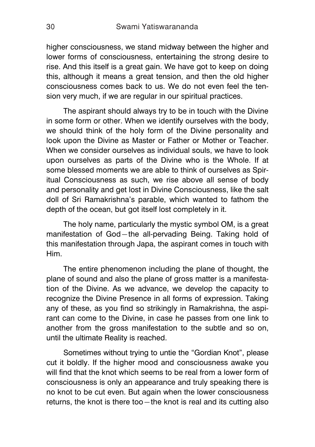higher consciousness, we stand midway between the higher and lower forms of consciousness, entertaining the strong desire to rise. And this itself is a great gain. We have got to keep on doing this, although it means a great tension, and then the old higher consciousness comes back to us. We do not even feel the tension very much, if we are regular in our spiritual practices.

The aspirant should always try to be in touch with the Divine in some form or other. When we identify ourselves with the body, we should think of the holy form of the Divine personality and look upon the Divine as Master or Father or Mother or Teacher. When we consider ourselves as individual souls, we have to look upon ourselves as parts of the Divine who is the Whole. If at some blessed moments we are able to think of ourselves as Spiritual Consciousness as such, we rise above all sense of body and personality and get lost in Divine Consciousness, like the salt doll of Sri Ramakrishna's parable, which wanted to fathom the depth of the ocean, but got itself lost completely in it.

The holy name, particularly the mystic symbol OM, is a great manifestation of God—the all-pervading Being. Taking hold of this manifestation through Japa, the aspirant comes in touch with Him.

The entire phenomenon including the plane of thought, the plane of sound and also the plane of gross matter is a manifestation of the Divine. As we advance, we develop the capacity to recognize the Divine Presence in all forms of expression. Taking any of these, as you find so strikingly in Ramakrishna, the aspirant can come to the Divine, in case he passes from one link to another from the gross manifestation to the subtle and so on, until the ultimate Reality is reached.

Sometimes without trying to untie the "Gordian Knot", please cut it boldly. If the higher mood and consciousness awake you will find that the knot which seems to be real from a lower form of consciousness is only an appearance and truly speaking there is no knot to be cut even. But again when the lower consciousness returns, the knot is there too—the knot is real and its cutting also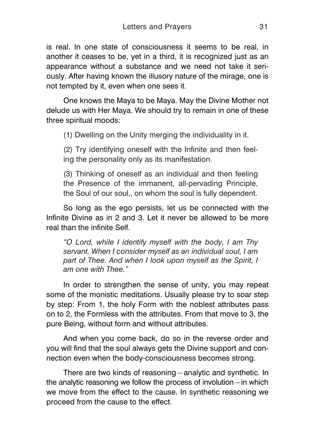is real. In one state of consciousness it seems to be real, in another it ceases to be, yet in a third, it is recognized just as an appearance without a substance and we need not take it seriously. After having known the illusory nature of the mirage, one is not tempted by it, even when one sees it.

One knows the Maya to be Maya. May the Divine Mother not delude us with Her Maya. We should try to remain in one of these three spiritual moods:

(1) Dwelling on the Unity merging the individuality in it.

(2) Try identifying oneself with the Infinite and then feeling the personality only as its manifestation.

(3) Thinking of oneself as an individual and then feeling the Presence of the immanent, all-pervading Principle, the Soul of our soul,, on whom the soul is fully dependent.

So long as the ego persists, let us be connected with the Infinite Divine as in 2 and 3. Let it never be allowed to be more real than the infinite Self.

*"O Lord, while I identify myself with the body, I am Thy servant. When I consider myself as an individual soul, I am part of Thee. And when I look upon myself as the Spirit, I am one with Thee."*

In order to strengthen the sense of unity, you may repeat some of the monistic meditations. Usually please try to soar step by step: From 1, the holy Form with the noblest attributes pass on to 2, the Formless with the attributes. From that move to 3, the pure Being, without form and without attributes.

And when you come back, do so in the reverse order and you will find that the soul always gets the Divine support and connection even when the body-consciousness becomes strong.

There are two kinds of reasoning—analytic and synthetic. In the analytic reasoning we follow the process of involution—in which we move from the effect to the cause. In synthetic reasoning we proceed from the cause to the effect.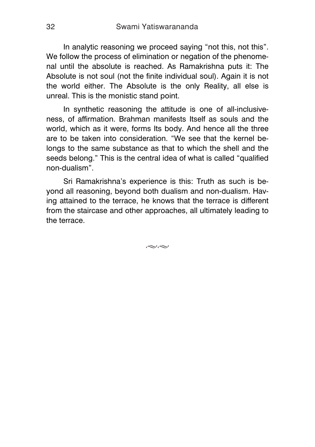In analytic reasoning we proceed saying "not this, not this". We follow the process of elimination or negation of the phenomenal until the absolute is reached. As Ramakrishna puts it: The Absolute is not soul (not the finite individual soul). Again it is not the world either. The Absolute is the only Reality, all else is unreal. This is the monistic stand point.

In synthetic reasoning the attitude is one of all-inclusiveness, of affirmation. Brahman manifests Itself as souls and the world, which as it were, forms Its body. And hence all the three are to be taken into consideration. "We see that the kernel belongs to the same substance as that to which the shell and the seeds belong." This is the central idea of what is called "qualified non-dualism".

Sri Ramakrishna's experience is this: Truth as such is beyond all reasoning, beyond both dualism and non-dualism. Having attained to the terrace, he knows that the terrace is different from the staircase and other approaches, all ultimately leading to the terrace.

 $\approx$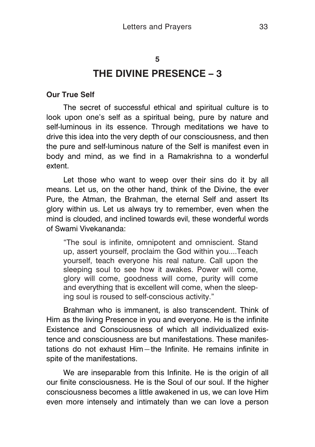#### <span id="page-32-0"></span>**5**

# **THE DIVINE PRESENCE – 3**

#### **Our True Self**

The secret of successful ethical and spiritual culture is to look upon one's self as a spiritual being, pure by nature and self-luminous in its essence. Through meditations we have to drive this idea into the very depth of our consciousness, and then the pure and self-luminous nature of the Self is manifest even in body and mind, as we find in a Ramakrishna to a wonderful extent.

Let those who want to weep over their sins do it by all means. Let us, on the other hand, think of the Divine, the ever Pure, the Atman, the Brahman, the eternal Self and assert Its glory within us. Let us always try to remember, even when the mind is clouded, and inclined towards evil, these wonderful words of Swami Vivekananda:

"The soul is infinite, omnipotent and omniscient. Stand up, assert yourself, proclaim the God within you....Teach yourself, teach everyone his real nature. Call upon the sleeping soul to see how it awakes. Power will come, glory will come, goodness will come, purity will come and everything that is excellent will come, when the sleeping soul is roused to self-conscious activity."

Brahman who is immanent, is also transcendent. Think of Him as the living Presence in you and everyone. He is the infinite Existence and Consciousness of which all individualized existence and consciousness are but manifestations. These manifestations do not exhaust Him—the Infinite. He remains infinite in spite of the manifestations.

We are inseparable from this Infinite. He is the origin of all our finite consciousness. He is the Soul of our soul. If the higher consciousness becomes a little awakened in us, we can love Him even more intensely and intimately than we can love a person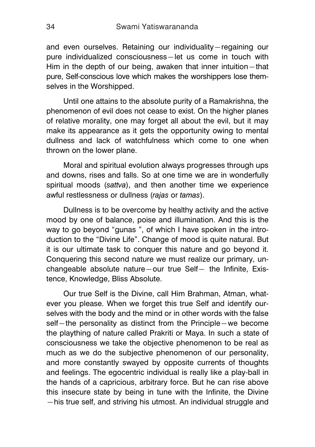and even ourselves. Retaining our individuality—regaining our pure individualized consciousness—let us come in touch with Him in the depth of our being, awaken that inner intuition—that pure, Self-conscious love which makes the worshippers lose themselves in the Worshipped.

Until one attains to the absolute purity of a Ramakrishna, the phenomenon of evil does not cease to exist. On the higher planes of relative morality, one may forget all about the evil, but it may make its appearance as it gets the opportunity owing to mental dullness and lack of watchfulness which come to one when thrown on the lower plane.

Moral and spiritual evolution always progresses through ups and downs, rises and falls. So at one time we are in wonderfully spiritual moods (*sattva*), and then another time we experience awful restlessness or dullness (*rajas* or *tamas*).

Dullness is to be overcome by healthy activity and the active mood by one of balance, poise and illumination. And this is the way to go beyond "gunas ", of which I have spoken in the introduction to the "Divine Life". Change of mood is quite natural. But it is our ultimate task to conquer this nature and go beyond it. Conquering this second nature we must realize our primary, unchangeable absolute nature—our true Self— the Infinite, Existence, Knowledge, Bliss Absolute.

Our true Self is the Divine, call Him Brahman, Atman, whatever you please. When we forget this true Self and identify ourselves with the body and the mind or in other words with the false self—the personality as distinct from the Principle—we become the plaything of nature called Prakriti or Maya. In such a state of consciousness we take the objective phenomenon to be real as much as we do the subjective phenomenon of our personality, and more constantly swayed by opposite currents of thoughts and feelings. The egocentric individual is really like a play-ball in the hands of a capricious, arbitrary force. But he can rise above this insecure state by being in tune with the Infinite, the Divine —his true self, and striving his utmost. An individual struggle and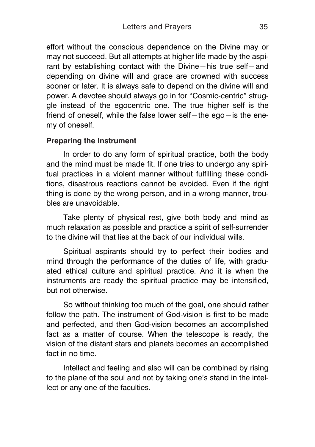effort without the conscious dependence on the Divine may or may not succeed. But all attempts at higher life made by the aspirant by establishing contact with the Divine—his true self—and depending on divine will and grace are crowned with success sooner or later. It is always safe to depend on the divine will and power. A devotee should always go in for "Cosmic-centric" struggle instead of the egocentric one. The true higher self is the friend of oneself, while the false lower self—the ego—is the enemy of oneself.

### **Preparing the Instrument**

In order to do any form of spiritual practice, both the body and the mind must be made fit. If one tries to undergo anv spiritual practices in a violent manner without fulfilling these conditions, disastrous reactions cannot be avoided. Even if the right thing is done by the wrong person, and in a wrong manner, troubles are unavoidable.

Take plenty of physical rest, give both body and mind as much relaxation as possible and practice a spirit of self-surrender to the divine will that lies at the back of our individual wills.

Spiritual aspirants should try to perfect their bodies and mind through the performance of the duties of life, with graduated ethical culture and spiritual practice. And it is when the instruments are ready the spiritual practice may be intensified, but not otherwise.

So without thinking too much of the goal, one should rather follow the path. The instrument of God-vision is first to be made and perfected, and then God-vision becomes an accomplished fact as a matter of course. When the telescope is ready, the vision of the distant stars and planets becomes an accomplished fact in no time.

Intellect and feeling and also will can be combined by rising to the plane of the soul and not by taking one's stand in the intellect or any one of the faculties.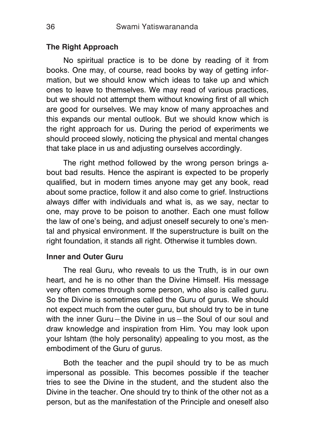### **The Right Approach**

No spiritual practice is to be done by reading of it from books. One may, of course, read books by way of getting information, but we should know which ideas to take up and which ones to leave to themselves. We may read of various practices, but we should not attempt them without knowing first of all which are good for ourselves. We may know of many approaches and this expands our mental outlook. But we should know which is the right approach for us. During the period of experiments we should proceed slowly, noticing the physical and mental changes that take place in us and adjusting ourselves accordingly.

The right method followed by the wrong person brings about bad results. Hence the aspirant is expected to be properly qualified, but in modern times anyone may get any book, read about some practice, follow it and also come to grief. Instructions always differ with individuals and what is, as we say, nectar to one, may prove to be poison to another. Each one must follow the law of one's being, and adjust oneself securely to one's mental and physical environment. If the superstructure is built on the right foundation, it stands all right. Otherwise it tumbles down.

### **Inner and Outer Guru**

The real Guru, who reveals to us the Truth, is in our own heart, and he is no other than the Divine Himself. His message very often comes through some person, who also is called guru. So the Divine is sometimes called the Guru of gurus. We should not expect much from the outer guru, but should try to be in tune with the inner Guru—the Divine in us—the Soul of our soul and draw knowledge and inspiration from Him. You may look upon your Ishtam (the holy personality) appealing to you most, as the embodiment of the Guru of gurus.

Both the teacher and the pupil should try to be as much impersonal as possible. This becomes possible if the teacher tries to see the Divine in the student, and the student also the Divine in the teacher. One should try to think of the other not as a person, but as the manifestation of the Principle and oneself also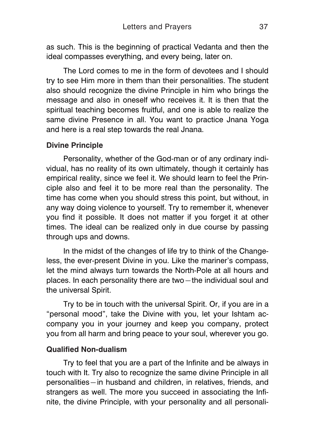as such. This is the beginning of practical Vedanta and then the ideal compasses everything, and every being, later on.

The Lord comes to me in the form of devotees and I should try to see Him more in them than their personalities. The student also should recognize the divine Principle in him who brings the message and also in oneself who receives it. It is then that the spiritual teaching becomes fruitful, and one is able to realize the same divine Presence in all. You want to practice Jnana Yoga and here is a real step towards the real Jnana.

## **Divine Principle**

Personality, whether of the God-man or of any ordinary individual, has no reality of its own ultimately, though it certainly has empirical reality, since we feel it. We should learn to feel the Principle also and feel it to be more real than the personality. The time has come when you should stress this point, but without, in any way doing violence to yourself. Try to remember it, whenever you find it possible. It does not matter if you forget it at other times. The ideal can be realized only in due course by passing through ups and downs.

In the midst of the changes of life try to think of the Changeless, the ever-present Divine in you. Like the mariner's compass, let the mind always turn towards the North-Pole at all hours and places. In each personality there are two—the individual soul and the universal Spirit.

Try to be in touch with the universal Spirit. Or, if you are in a "personal mood", take the Divine with you, let your Ishtam accompany you in your journey and keep you company, protect you from all harm and bring peace to your soul, wherever you go.

## **Qualified Non-dualism**

Try to feel that you are a part of the Infinite and be always in touch with It. Try also to recognize the same divine Principle in all personalities—in husband and children, in relatives, friends, and strangers as well. The more you succeed in associating the Infinite, the divine Principle, with your personality and all personali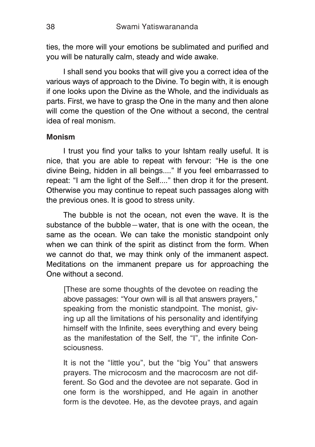ties, the more will your emotions be sublimated and purified and you will be naturally calm, steady and wide awake.

I shall send you books that will give you a correct idea of the various ways of approach to the Divine. To begin with, it is enough if one looks upon the Divine as the Whole, and the individuals as parts. First, we have to grasp the One in the many and then alone will come the question of the One without a second, the central idea of real monism.

### **Monism**

I trust you find your talks to your Ishtam really useful. It is nice, that you are able to repeat with fervour: "He is the one divine Being, hidden in all beings...." If you feel embarrassed to repeat: "I am the light of the Self...." then drop it for the present. Otherwise you may continue to repeat such passages along with the previous ones. It is good to stress unity.

The bubble is not the ocean, not even the wave. It is the substance of the bubble—water, that is one with the ocean, the same as the ocean. We can take the monistic standpoint only when we can think of the spirit as distinct from the form. When we cannot do that, we may think only of the immanent aspect. Meditations on the immanent prepare us for approaching the One without a second.

[These are some thoughts of the devotee on reading the above passages: "Your own will is all that answers prayers," speaking from the monistic standpoint. The monist, giving up all the limitations of his personality and identifying himself with the Infinite, sees everything and every being as the manifestation of the Self, the "I", the infinite Consciousness.

It is not the "little you", but the "big You" that answers prayers. The microcosm and the macrocosm are not different. So God and the devotee are not separate. God in one form is the worshipped, and He again in another form is the devotee. He, as the devotee prays, and again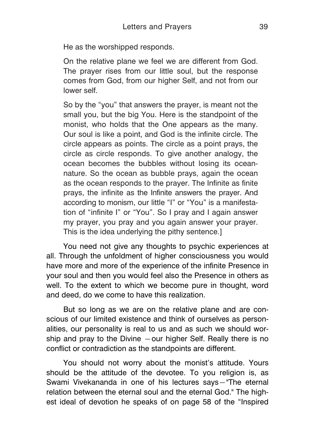He as the worshipped responds.

On the relative plane we feel we are different from God. The prayer rises from our little soul, but the response comes from God, from our higher Self, and not from our lower self.

So by the "you" that answers the prayer, is meant not the small you, but the big You. Here is the standpoint of the monist, who holds that the One appears as the many. Our soul is like a point, and God is the infinite circle. The circle appears as points. The circle as a point prays, the circle as circle responds. To give another analogy, the ocean becomes the bubbles without losing its oceannature. So the ocean as bubble prays, again the ocean as the ocean responds to the prayer. The Infinite as finite prays, the infinite as the Infinite answers the prayer. And according to monism, our little "I" or "You" is a manifestation of "infinite I" or "You". So I pray and I again answer my prayer, you pray and you again answer your prayer. This is the idea underlying the pithy sentence.]

You need not give any thoughts to psychic experiences at all. Through the unfoldment of higher consciousness you would have more and more of the experience of the infinite Presence in your soul and then you would feel also the Presence in others as well. To the extent to which we become pure in thought, word and deed, do we come to have this realization.

But so long as we are on the relative plane and are conscious of our limited existence and think of ourselves as personalities, our personality is real to us and as such we should worship and pray to the Divine —our higher Self. Really there is no conflict or contradiction as the standpoints are different.

You should not worry about the monist's attitude. Yours should be the attitude of the devotee. To you religion is, as Swami Vivekananda in one of his lectures says—"The eternal relation between the eternal soul and the eternal God." The highest ideal of devotion he speaks of on page 58 of the "Inspired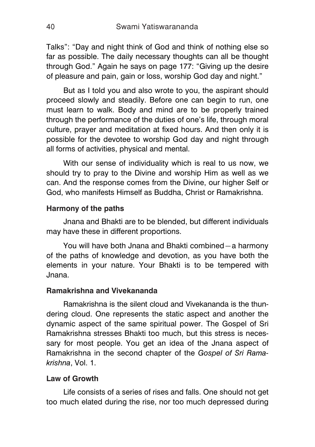Talks": "Day and night think of God and think of nothing else so far as possible. The daily necessary thoughts can all be thought through God." Again he says on page 177: "Giving up the desire of pleasure and pain, gain or loss, worship God day and night."

But as I told you and also wrote to you, the aspirant should proceed slowly and steadily. Before one can begin to run, one must learn to walk. Body and mind are to be properly trained through the performance of the duties of one's life, through moral culture, prayer and meditation at fixed hours. And then only it is possible for the devotee to worship God day and night through all forms of activities, physical and mental.

With our sense of individuality which is real to us now, we should try to pray to the Divine and worship Him as well as we can. And the response comes from the Divine, our higher Self or God, who manifests Himself as Buddha, Christ or Ramakrishna.

## **Harmony of the paths**

Jnana and Bhakti are to be blended, but different individuals may have these in different proportions.

You will have both Jnana and Bhakti combined—a harmony of the paths of knowledge and devotion, as you have both the elements in your nature. Your Bhakti is to be tempered with Jnana.

## **Ramakrishna and Vivekananda**

Ramakrishna is the silent cloud and Vivekananda is the thundering cloud. One represents the static aspect and another the dynamic aspect of the same spiritual power. The Gospel of Sri Ramakrishna stresses Bhakti too much, but this stress is necessary for most people. You get an idea of the Jnana aspect of Ramakrishna in the second chapter of the *Gospel of Sri Ramakrishna*, Vol. 1.

### **Law of Growth**

Life consists of a series of rises and falls. One should not get too much elated during the rise, nor too much depressed during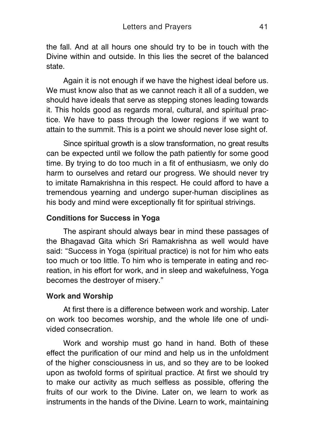the fall. And at all hours one should try to be in touch with the Divine within and outside. In this lies the secret of the balanced state.

Again it is not enough if we have the highest ideal before us. We must know also that as we cannot reach it all of a sudden, we should have ideals that serve as stepping stones leading towards it. This holds good as regards moral, cultural, and spiritual practice. We have to pass through the lower regions if we want to attain to the summit. This is a point we should never lose sight of.

Since spiritual growth is a slow transformation, no great results can be expected until we follow the path patiently for some good time. By trying to do too much in a fit of enthusiasm, we only do harm to ourselves and retard our progress. We should never try to imitate Ramakrishna in this respect. He could afford to have a tremendous yearning and undergo super-human disciplines as his body and mind were exceptionally fit for spiritual strivings.

## **Conditions for Success in Yoga**

The aspirant should always bear in mind these passages of the Bhagavad Gita which Sri Ramakrishna as well would have said: "Success in Yoga (spiritual practice) is not for him who eats too much or too little. To him who is temperate in eating and recreation, in his effort for work, and in sleep and wakefulness, Yoga becomes the destroyer of misery."

## **Work and Worship**

At first there is a difference between work and worship. Later on work too becomes worship, and the whole life one of undivided consecration.

Work and worship must go hand in hand. Both of these effect the purification of our mind and help us in the unfoldment of the higher consciousness in us, and so they are to be looked upon as twofold forms of spiritual practice. At first we should try to make our activity as much selfless as possible, offering the fruits of our work to the Divine. Later on, we learn to work as instruments in the hands of the Divine. Learn to work, maintaining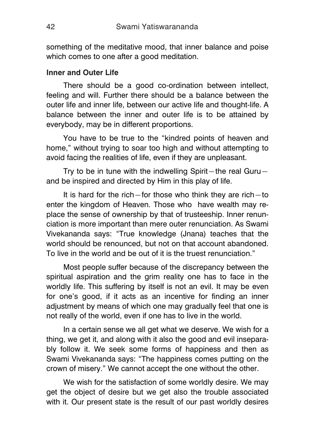something of the meditative mood, that inner balance and poise which comes to one after a good meditation.

## **Inner and Outer Life**

There should be a good co-ordination between intellect, feeling and will. Further there should be a balance between the outer life and inner life, between our active life and thought-life. A balance between the inner and outer life is to be attained by everybody, may be in different proportions.

You have to be true to the "kindred points of heaven and home," without trying to soar too high and without attempting to avoid facing the realities of life, even if they are unpleasant.

Try to be in tune with the indwelling Spirit—the real Guru and be inspired and directed by Him in this play of life.

It is hard for the rich—for those who think they are rich—to enter the kingdom of Heaven. Those who have wealth may replace the sense of ownership by that of trusteeship. Inner renunciation is more important than mere outer renunciation. As Swami Vivekananda says: "True knowledge (Jnana) teaches that the world should be renounced, but not on that account abandoned. To live in the world and be out of it is the truest renunciation."

Most people suffer because of the discrepancy between the spiritual aspiration and the grim reality one has to face in the worldly life. This suffering by itself is not an evil. It may be even for one's good, if it acts as an incentive for finding an inner adjustment by means of which one may gradually feel that one is not really of the world, even if one has to live in the world.

In a certain sense we all get what we deserve. We wish for a thing, we get it, and along with it also the good and evil inseparably follow it. We seek some forms of happiness and then as Swami Vivekananda says: "The happiness comes putting on the crown of misery." We cannot accept the one without the other.

We wish for the satisfaction of some worldly desire. We may get the object of desire but we get also the trouble associated with it. Our present state is the result of our past worldly desires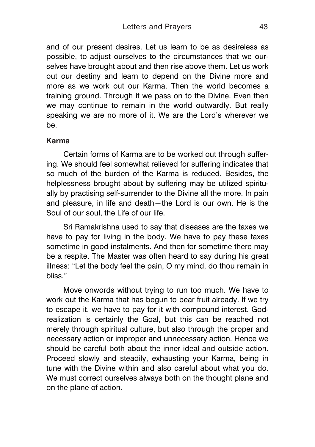and of our present desires. Let us learn to be as desireless as possible, to adjust ourselves to the circumstances that we ourselves have brought about and then rise above them. Let us work out our destiny and learn to depend on the Divine more and more as we work out our Karma. Then the world becomes a training ground. Through it we pass on to the Divine. Even then we may continue to remain in the world outwardly. But really speaking we are no more of it. We are the Lord's wherever we be.

## **Karma**

Certain forms of Karma are to be worked out through suffering. We should feel somewhat relieved for suffering indicates that so much of the burden of the Karma is reduced. Besides, the helplessness brought about by suffering may be utilized spiritually by practising self-surrender to the Divine all the more. In pain and pleasure, in life and death—the Lord is our own. He is the Soul of our soul, the Life of our life.

Sri Ramakrishna used to say that diseases are the taxes we have to pay for living in the body. We have to pay these taxes sometime in good instalments. And then for sometime there may be a respite. The Master was often heard to say during his great illness: "Let the body feel the pain, O my mind, do thou remain in bliss."

Move onwords without trying to run too much. We have to work out the Karma that has begun to bear fruit already. If we try to escape it, we have to pay for it with compound interest. Godrealization is certainly the Goal, but this can be reached not merely through spiritual culture, but also through the proper and necessary action or improper and unnecessary action. Hence we should be careful both about the inner ideal and outside action. Proceed slowly and steadily, exhausting your Karma, being in tune with the Divine within and also careful about what you do. We must correct ourselves always both on the thought plane and on the plane of action.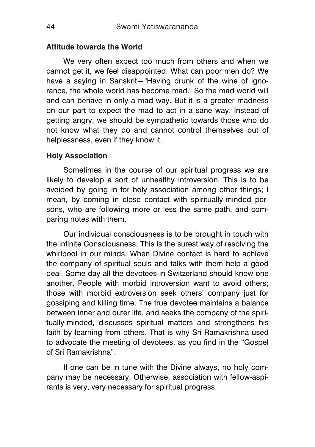## **Attitude towards the World**

We very often expect too much from others and when we cannot get it, we feel disappointed. What can poor men do? We have a saying in Sanskrit—"Having drunk of the wine of ignorance, the whole world has become mad." So the mad world will and can behave in only a mad way. But it is a greater madness on our part to expect the mad to act in a sane way. Instead of getting angry, we should be sympathetic towards those who do not know what they do and cannot control themselves out of helplessness, even if they know it.

## **Holy Association**

Sometimes in the course of our spiritual progress we are likely to develop a sort of unhealthy introversion. This is to be avoided by going in for holy association among other things; I mean, by coming in close contact with spiritually-minded persons, who are following more or less the same path, and comparing notes with them.

Our individual consciousness is to be brought in touch with the infinite Consciousness. This is the surest way of resolving the whirlpool in our minds. When Divine contact is hard to achieve the company of spiritual souls and talks with them help a good deal. Some day all the devotees in Switzerland should know one another. People with morbid introversion want to avoid others; those with morbid extroversion seek others' company just for gossiping and killing time. The true devotee maintains a balance between inner and outer life, and seeks the company of the spiritually-minded, discusses spiritual matters and strengthens his faith by learning from others. That is why Sri Ramakrishna used to advocate the meeting of devotees, as you find in the "Gospel of Sri Ramakrishna".

If one can be in tune with the Divine always, no holy company may be necessary. Otherwise, association with fellow-aspirants is very, very necessary for spiritual progress.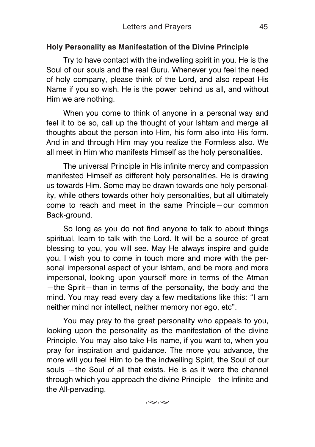## **Holy Personality as Manifestation of the Divine Principle**

Try to have contact with the indwelling spirit in you. He is the Soul of our souls and the real Guru. Whenever you feel the need of holy company, please think of the Lord, and also repeat His Name if you so wish. He is the power behind us all, and without Him we are nothing.

When you come to think of anyone in a personal way and feel it to be so, call up the thought of your Ishtam and merge all thoughts about the person into Him, his form also into His form. And in and through Him may you realize the Formless also. We all meet in Him who manifests Himself as the holy personalities.

The universal Principle in His infinite mercy and compassion manifested Himself as different holy personalities. He is drawing us towards Him. Some may be drawn towards one holy personality, while others towards other holy personalities, but all ultimately come to reach and meet in the same Principle—our common Back-ground.

So long as you do not find anyone to talk to about things spiritual, learn to talk with the Lord. It will be a source of great blessing to you, you will see. May He always inspire and guide you. I wish you to come in touch more and more with the personal impersonal aspect of your Ishtam, and be more and more impersonal, looking upon yourself more in terms of the Atman —the Spirit—than in terms of the personality, the body and the mind. You may read every day a few meditations like this: "I am neither mind nor intellect, neither memory nor ego, etc".

You may pray to the great personality who appeals to you, looking upon the personality as the manifestation of the divine Principle. You may also take His name, if you want to, when you pray for inspiration and guidance. The more you advance, the more will you feel Him to be the indwelling Spirit, the Soul of our souls —the Soul of all that exists. He is as it were the channel through which you approach the divine Principle—the Infinite and the All-pervading.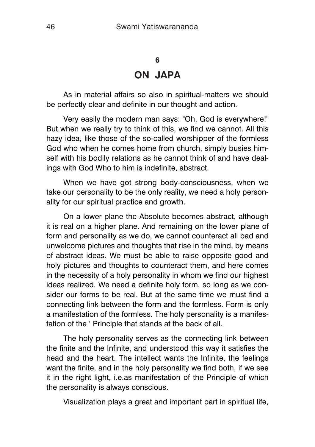## **6 ON JAPA**

As in material affairs so also in spiritual-matters we should be perfectly clear and definite in our thought and action.

Very easily the modern man says: "Oh, God is everywhere!" But when we really try to think of this, we find we cannot. All this hazy idea, like those of the so-called worshipper of the formless God who when he comes home from church, simply busies himself with his bodily relations as he cannot think of and have dealings with God Who to him is indefinite, abstract.

When we have got strong body-consciousness, when we take our personality to be the only reality, we need a holy personality for our spiritual practice and growth.

On a lower plane the Absolute becomes abstract, although it is real on a higher plane. And remaining on the lower plane of form and personality as we do, we cannot counteract all bad and unwelcome pictures and thoughts that rise in the mind, by means of abstract ideas. We must be able to raise opposite good and holy pictures and thoughts to counteract them, and here comes in the necessity of a holy personality in whom we find our highest ideas realized. We need a definite holy form, so long as we consider our forms to be real. But at the same time we must find a connecting link between the form and the formless. Form is only a manifestation of the formless. The holy personality is a manifestation of the ' Principle that stands at the back of all.

The holy personality serves as the connecting link between the finite and the Infinite, and understood this way it satisfies the head and the heart. The intellect wants the Infinite, the feelings want the finite, and in the holy personality we find both, if we see it in the right light, i.e.as manifestation of the Principle of which the personality is always conscious.

Visualization plays a great and important part in spiritual life,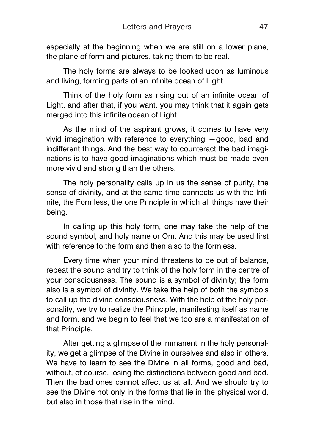especially at the beginning when we are still on a lower plane, the plane of form and pictures, taking them to be real.

The holy forms are always to be looked upon as luminous and living, forming parts of an infinite ocean of Light.

Think of the holy form as rising out of an infinite ocean of Light, and after that, if you want, you may think that it again gets merged into this infinite ocean of Light.

As the mind of the aspirant grows, it comes to have very vivid imagination with reference to everything —good, bad and indifferent things. And the best way to counteract the bad imaginations is to have good imaginations which must be made even more vivid and strong than the others.

The holy personality calls up in us the sense of purity, the sense of divinity, and at the same time connects us with the Infinite, the Formless, the one Principle in which all things have their being.

In calling up this holy form, one may take the help of the sound symbol, and holy name or Om. And this may be used first with reference to the form and then also to the formless.

Every time when your mind threatens to be out of balance, repeat the sound and try to think of the holy form in the centre of your consciousness. The sound is a symbol of divinity; the form also is a symbol of divinity. We take the help of both the symbols to call up the divine consciousness. With the help of the holy personality, we try to realize the Principle, manifesting itself as name and form, and we begin to feel that we too are a manifestation of that Principle.

After getting a glimpse of the immanent in the holy personality, we get a glimpse of the Divine in ourselves and also in others. We have to learn to see the Divine in all forms, good and bad, without, of course, losing the distinctions between good and bad. Then the bad ones cannot affect us at all. And we should try to see the Divine not only in the forms that lie in the physical world, but also in those that rise in the mind.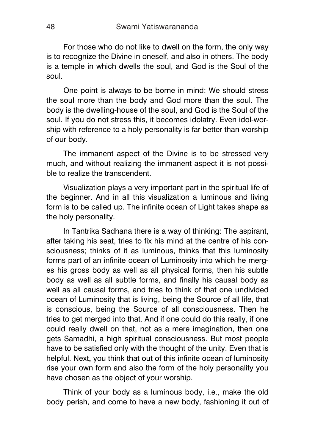For those who do not like to dwell on the form, the only way is to recognize the Divine in oneself, and also in others. The body is a temple in which dwells the soul, and God is the Soul of the soul.

One point is always to be borne in mind: We should stress the soul more than the body and God more than the soul. The body is the dwelling-house of the soul, and God is the Soul of the soul. If you do not stress this, it becomes idolatry. Even idol-worship with reference to a holy personality is far better than worship of our body.

The immanent aspect of the Divine is to be stressed very much, and without realizing the immanent aspect it is not possible to realize the transcendent.

Visualization plays a very important part in the spiritual life of the beginner. And in all this visualization a luminous and living form is to be called up. The infinite ocean of Light takes shape as the holy personality.

In Tantrika Sadhana there is a way of thinking: The aspirant, after taking his seat, tries to fix his mind at the centre of his consciousness; thinks of it as luminous, thinks that this luminosity forms part of an infinite ocean of Luminosity into which he merges his gross body as well as all physical forms, then his subtle body as well as all subtle forms, and finally his causal body as well as all causal forms, and tries to think of that one undivided ocean of Luminosity that is living, being the Source of all life, that is conscious, being the Source of all consciousness. Then he tries to get merged into that. And if one could do this really, if one could really dwell on that, not as a mere imagination, then one gets Samadhi, a high spiritual consciousness. But most people have to be satisfied only with the thought of the unity. Even that is helpful. Next**,** you think that out of this infinite ocean of luminosity rise your own form and also the form of the holy personality you have chosen as the object of your worship.

Think of your body as a luminous body, i.e., make the old body perish, and come to have a new body, fashioning it out of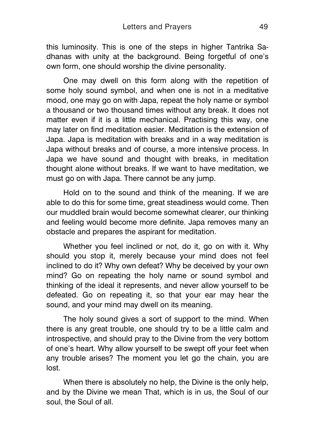this luminosity. This is one of the steps in higher Tantrika Sadhanas with unity at the background. Being forgetful of one's own form, one should worship the divine personality.

One may dwell on this form along with the repetition of some holy sound symbol, and when one is not in a meditative mood, one may go on with Japa, repeat the holy name or symbol a thousand or two thousand times without any break. It does not matter even if it is a little mechanical. Practising this way, one may later on find meditation easier. Meditation is the extension of Japa. Japa is meditation with breaks and in a way meditation is Japa without breaks and of course, a more intensive process. In Japa we have sound and thought with breaks, in meditation thought alone without breaks. If we want to have meditation, we must go on with Japa. There cannot be any jump.

Hold on to the sound and think of the meaning. If we are able to do this for some time, great steadiness would come. Then our muddled brain would become somewhat clearer, our thinking and feeling would become more definite. Japa removes many an obstacle and prepares the aspirant for meditation.

Whether you feel inclined or not, do it, go on with it. Why should you stop it, merely because your mind does not feel inclined to do it? Why own defeat? Why be deceived by your own mind? Go on repeating the holy name or sound symbol and thinking of the ideal it represents, and never allow yourself to be defeated. Go on repeating it, so that your ear may hear the sound, and your mind may dwell on its meaning.

The holy sound gives a sort of support to the mind. When there is any great trouble, one should try to be a little calm and introspective, and should pray to the Divine from the very bottom of one's heart. Why allow yourself to be swept off your feet when any trouble arises? The moment you let go the chain, you are lost.

When there is absolutely no help, the Divine is the only help, and by the Divine we mean That, which is in us, the Soul of our soul, the Soul of all.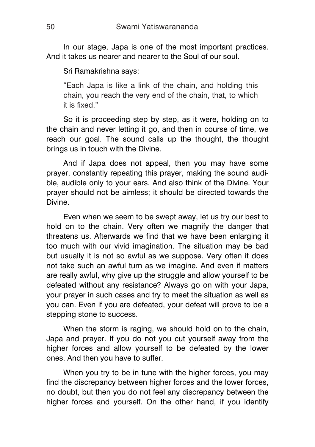In our stage, Japa is one of the most important practices. And it takes us nearer and nearer to the Soul of our soul.

Sri Ramakrishna says:

"Each Japa is like a link of the chain, and holding this chain, you reach the very end of the chain, that, to which it is fixed."

So it is proceeding step by step, as it were, holding on to the chain and never letting it go, and then in course of time, we reach our goal. The sound calls up the thought, the thought brings us in touch with the Divine.

And if Japa does not appeal, then you may have some prayer, constantly repeating this prayer, making the sound audible, audible only to your ears. And also think of the Divine. Your prayer should not be aimless; it should be directed towards the Divine.

Even when we seem to be swept away, let us try our best to hold on to the chain. Very often we magnify the danger that threatens us. Afterwards we find that we have been enlarging it too much with our vivid imagination. The situation may be bad but usually it is not so awful as we suppose. Very often it does not take such an awful turn as we imagine. And even if matters are really awful, why give up the struggle and allow yourself to be defeated without any resistance? Always go on with your Japa, your prayer in such cases and try to meet the situation as well as you can. Even if you are defeated, your defeat will prove to be a stepping stone to success.

When the storm is raging, we should hold on to the chain, Japa and prayer. If you do not you cut yourself away from the higher forces and allow yourself to be defeated by the lower ones. And then you have to suffer.

When you try to be in tune with the higher forces, you may find the discrepancy between higher forces and the lower forces, no doubt, but then you do not feel any discrepancy between the higher forces and yourself. On the other hand, if you identify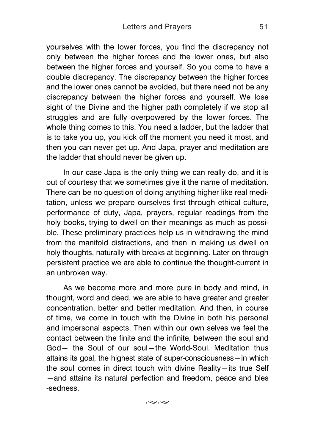yourselves with the lower forces, you find the discrepancy not only between the higher forces and the lower ones, but also between the higher forces and yourself. So you come to have a double discrepancy. The discrepancy between the higher forces and the lower ones cannot be avoided, but there need not be any discrepancy between the higher forces and yourself. We lose sight of the Divine and the higher path completely if we stop all struggles and are fully overpowered by the lower forces. The whole thing comes to this. You need a ladder, but the ladder that is to take you up, you kick off the moment you need it most, and then you can never get up. And Japa, prayer and meditation are the ladder that should never be given up.

In our case Japa is the only thing we can really do, and it is out of courtesy that we sometimes give it the name of meditation. There can be no question of doing anything higher like real meditation, unless we prepare ourselves first through ethical culture, performance of duty, Japa, prayers, regular readings from the holy books, trying to dwell on their meanings as much as possible. These preliminary practices help us in withdrawing the mind from the manifold distractions, and then in making us dwell on holy thoughts, naturally with breaks at beginning. Later on through persistent practice we are able to continue the thought-current in an unbroken way.

As we become more and more pure in body and mind, in thought, word and deed, we are able to have greater and greater concentration, better and better meditation. And then, in course of time, we come in touch with the Divine in both his personal and impersonal aspects. Then within our own selves we feel the contact between the finite and the infinite, between the soul and God— the Soul of our soul—the World-Soul. Meditation thus attains its goal, the highest state of super-consciousness—in which the soul comes in direct touch with divine Reality—its true Self —and attains its natural perfection and freedom, peace and bles -sedness.

 $\approx$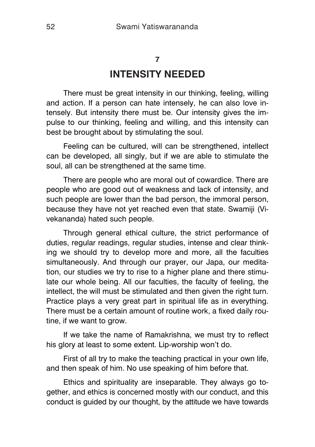# **7 INTENSITY NEEDED**

There must be great intensity in our thinking, feeling, willing and action. If a person can hate intensely, he can also love intensely. But intensity there must be. Our intensity gives the impulse to our thinking, feeling and willing, and this intensity can best be brought about by stimulating the soul.

Feeling can be cultured, will can be strengthened, intellect can be developed, all singly, but if we are able to stimulate the soul, all can be strengthened at the same time.

There are people who are moral out of cowardice. There are people who are good out of weakness and lack of intensity, and such people are lower than the bad person, the immoral person, because they have not yet reached even that state. Swamiji (Vivekananda) hated such people.

Through general ethical culture, the strict performance of duties, regular readings, regular studies, intense and clear thinking we should try to develop more and more, all the faculties simultaneously. And through our prayer, our Japa, our meditation, our studies we try to rise to a higher plane and there stimulate our whole being. All our faculties, the faculty of feeling, the intellect, the will must be stimulated and then given the right turn. Practice plays a very great part in spiritual life as in everything. There must be a certain amount of routine work, a fixed daily routine, if we want to grow.

If we take the name of Ramakrishna, we must try to reflect his glory at least to some extent. Lip-worship won't do.

First of all try to make the teaching practical in your own life, and then speak of him. No use speaking of him before that.

Ethics and spirituality are inseparable. They always go together, and ethics is concerned mostly with our conduct, and this conduct is guided by our thought, by the attitude we have towards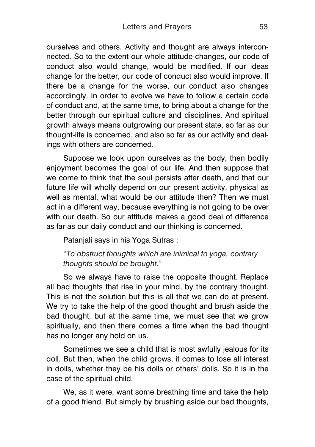ourselves and others. Activity and thought are always interconnected. So to the extent our whole attitude changes, our code of conduct also would change, would be modified. If our ideas change for the better, our code of conduct also would improve. If there be a change for the worse, our conduct also changes accordingly. In order to evolve we have to follow a certain code of conduct and, at the same time, to bring about a change for the better through our spiritual culture and disciplines. And spiritual growth always means outgrowing our present state, so far as our thought-life is concerned, and also so far as our activity and dealings with others are concerned.

Suppose we look upon ourselves as the body, then bodily enjoyment becomes the goal of our life. And then suppose that we come to think that the soul persists after death, and that our future life will wholly depend on our present activity, physical as well as mental, what would be our attitude then? Then we must act in a different way, because everything is not going to be over with our death. So our attitude makes a good deal of difference as far as our daily conduct and our thinking is concerned.

Patanjali says in his Yoga Sutras :

"*To obstruct thoughts which are inimical to yoga, contrary thoughts should be brought*."

So we always have to raise the opposite thought. Replace all bad thoughts that rise in your mind, by the contrary thought. This is not the solution but this is all that we can do at present. We try to take the help of the good thought and brush aside the bad thought, but at the same time, we must see that we grow spiritually, and then there comes a time when the bad thought has no longer any hold on us.

Sometimes we see a child that is most awfully jealous for its doll. But then, when the child grows, it comes to lose all interest in dolls, whether they be his dolls or others' dolls. So it is in the case of the spiritual child.

We, as it were, want some breathing time and take the help of a good friend. But simply by brushing aside our bad thoughts,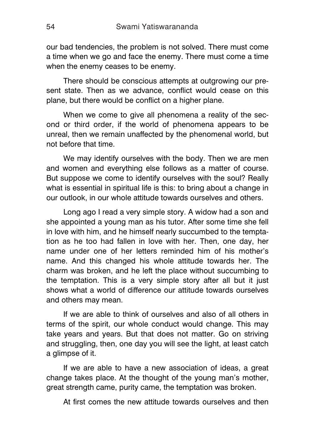our bad tendencies, the problem is not solved. There must come a time when we go and face the enemy. There must come a time when the enemy ceases to be enemy.

There should be conscious attempts at outgrowing our present state. Then as we advance, conflict would cease on this plane, but there would be conflict on a higher plane.

When we come to give all phenomena a reality of the second or third order, if the world of phenomena appears to be unreal, then we remain unaffected by the phenomenal world, but not before that time.

We may identify ourselves with the body. Then we are men and women and everything else follows as a matter of course. But suppose we come to identify ourselves with the soul? Really what is essential in spiritual life is this: to bring about a change in our outlook, in our whole attitude towards ourselves and others.

Long ago I read a very simple story. A widow had a son and she appointed a young man as his tutor. After some time she fell in love with him, and he himself nearly succumbed to the temptation as he too had fallen in love with her. Then, one day, her name under one of her letters reminded him of his mother's name. And this changed his whole attitude towards her. The charm was broken, and he left the place without succumbing to the temptation. This is a very simple story after all but it just shows what a world of difference our attitude towards ourselves and others may mean.

If we are able to think of ourselves and also of all others in terms of the spirit, our whole conduct would change. This may take years and years. But that does not matter. Go on striving and struggling, then, one day you will see the light, at least catch a glimpse of it.

If we are able to have a new association of ideas, a great change takes place. At the thought of the young man's mother, great strength came, purity came, the temptation was broken.

At first comes the new attitude towards ourselves and then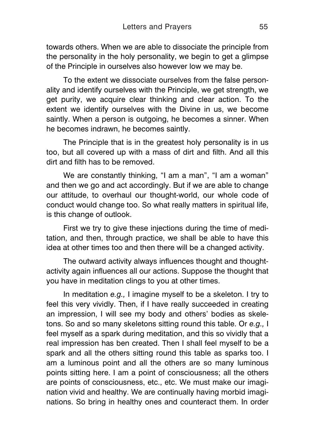towards others. When we are able to dissociate the principle from the personality in the holy personality, we begin to get a glimpse of the Principle in ourselves also however low we may be.

To the extent we dissociate ourselves from the false personality and identify ourselves with the Principle, we get strength, we get purity, we acquire clear thinking and clear action. To the extent we identify ourselves with the Divine in us, we become saintly. When a person is outgoing, he becomes a sinner. When he becomes indrawn, he becomes saintly.

The Principle that is in the greatest holy personality is in us too, but all covered up with a mass of dirt and filth. And all this dirt and filth has to be removed.

We are constantly thinking, "I am a man", "I am a woman" and then we go and act accordingly. But if we are able to change our attitude, to overhaul our thought-world, our whole code of conduct would change too. So what really matters in spiritual life, is this change of outlook.

First we try to give these injections during the time of meditation, and then, through practice, we shall be able to have this idea at other times too and then there will be a changed activity.

The outward activity always influences thought and thoughtactivity again influences all our actions. Suppose the thought that you have in meditation clings to you at other times.

In meditation *e.g.,* I imagine myself to be a skeleton. I try to feel this very vividly. Then, if I have really succeeded in creating an impression, I will see my body and others' bodies as skeletons. So and so many skeletons sitting round this table. Or *e.g.,* I feel myself as a spark during meditation, and this so vividly that a real impression has ben created. Then I shall feel myself to be a spark and all the others sitting round this table as sparks too. I am a luminous point and all the others are so many luminous points sitting here. I am a point of consciousness; all the others are points of consciousness, etc., etc. We must make our imagination vivid and healthy. We are continually having morbid imaginations. So bring in healthy ones and counteract them. In order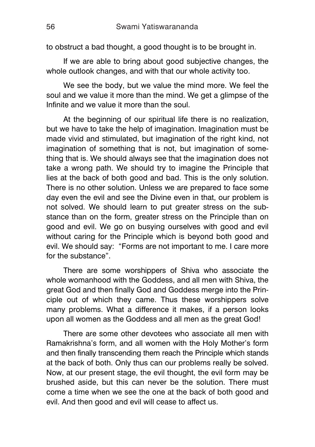to obstruct a bad thought, a good thought is to be brought in.

If we are able to bring about good subjective changes, the whole outlook changes, and with that our whole activity too.

We see the body, but we value the mind more. We feel the soul and we value it more than the mind. We get a glimpse of the Infinite and we value it more than the soul.

At the beginning of our spiritual life there is no realization, but we have to take the help of imagination. Imagination must be made vivid and stimulated, but imagination of the right kind, not imagination of something that is not, but imagination of something that is. We should always see that the imagination does not take a wrong path. We should try to imagine the Principle that lies at the back of both good and bad. This is the only solution. There is no other solution. Unless we are prepared to face some day even the evil and see the Divine even in that, our problem is not solved. We should learn to put greater stress on the substance than on the form, greater stress on the Principle than on good and evil. We go on busying ourselves with good and evil without caring for the Principle which is beyond both good and evil. We should say: "Forms are not important to me. I care more for the substance".

There are some worshippers of Shiva who associate the whole womanhood with the Goddess, and all men with Shiva, the great God and then finally God and Goddess merge into the Principle out of which they came. Thus these worshippers solve many problems. What a difference it makes, if a person looks upon all women as the Goddess and all men as the great God!

There are some other devotees who associate all men with Ramakrishna's form, and all women with the Holy Mother's form and then finally transcending them reach the Principle which stands at the back of both. Only thus can our problems really be solved. Now, at our present stage, the evil thought, the evil form may be brushed aside, but this can never be the solution. There must come a time when we see the one at the back of both good and evil. And then good and evil will cease to affect us.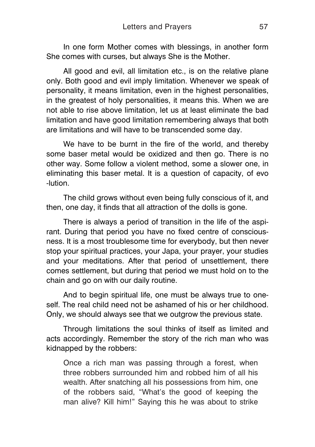In one form Mother comes with blessings, in another form She comes with curses, but always She is the Mother.

All good and evil, all limitation etc., is on the relative plane only. Both good and evil imply limitation. Whenever we speak of personality, it means limitation, even in the highest personalities, in the greatest of holy personalities, it means this. When we are not able to rise above limitation, let us at least eliminate the bad limitation and have good limitation remembering always that both are limitations and will have to be transcended some day.

We have to be burnt in the fire of the world, and thereby some baser metal would be oxidized and then go. There is no other way. Some follow a violent method, some a slower one, in eliminating this baser metal. It is a question of capacity, of evo -lution.

The child grows without even being fully conscious of it, and then, one day, it finds that all attraction of the dolls is gone.

There is always a period of transition in the life of the aspirant. During that period you have no fixed centre of consciousness. It is a most troublesome time for everybody, but then never stop your spiritual practices, your Japa, your prayer, your studies and your meditations. After that period of unsettlement, there comes settlement, but during that period we must hold on to the chain and go on with our daily routine.

And to begin spiritual life, one must be always true to oneself. The real child need not be ashamed of his or her childhood. Only, we should always see that we outgrow the previous state.

Through limitations the soul thinks of itself as limited and acts accordingly. Remember the story of the rich man who was kidnapped by the robbers:

Once a rich man was passing through a forest, when three robbers surrounded him and robbed him of all his wealth. After snatching all his possessions from him, one of the robbers said, "What's the good of keeping the man alive? Kill him!" Saying this he was about to strike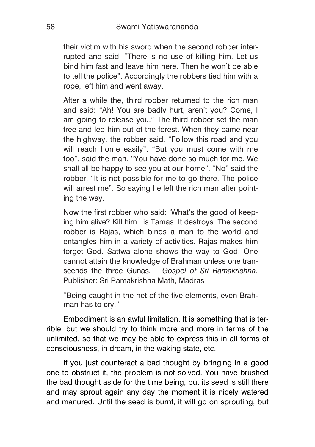their victim with his sword when the second robber interrupted and said, "There is no use of killing him. Let us bind him fast and leave him here. Then he won't be able to tell the police". Accordingly the robbers tied him with a rope, left him and went away.

After a while the, third robber returned to the rich man and said: "Ah! You are badly hurt, aren't you? Come, I am going to release you." The third robber set the man free and led him out of the forest. When they came near the highway, the robber said, "Follow this road and you will reach home easily". "But you must come with me too", said the man. "You have done so much for me. We shall all be happy to see you at our home". "No" said the robber, "It is not possible for me to go there. The police will arrest me". So saying he left the rich man after pointing the way.

Now the first robber who said: 'What's the good of keeping him alive? Kill him.' is Tamas. It destroys. The second robber is Rajas, which binds a man to the world and entangles him in a variety of activities. Rajas makes him forget God. Sattwa alone shows the way to God. One cannot attain the knowledge of Brahman unless one transcends the three Gunas.— *Gospel of Sri Ramakrishna*, Publisher: Sri Ramakrishna Math, Madras

"Being caught in the net of the five elements, even Brahman has to cry."

Embodiment is an awful limitation. It is something that is terrible, but we should try to think more and more in terms of the unlimited, so that we may be able to express this in all forms of consciousness, in dream, in the waking state, etc.

If you just counteract a bad thought by bringing in a good one to obstruct it, the problem is not solved. You have brushed the bad thought aside for the time being, but its seed is still there and may sprout again any day the moment it is nicely watered and manured. Until the seed is burnt, it will go on sprouting, but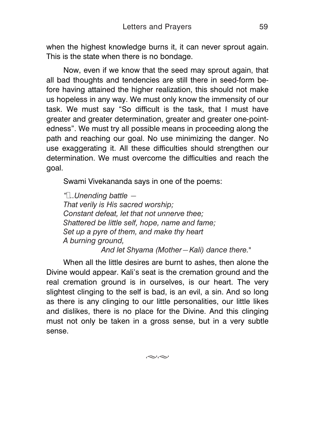when the highest knowledge burns it, it can never sprout again. This is the state when there is no bondage.

Now, even if we know that the seed may sprout again, that all bad thoughts and tendencies are still there in seed-form before having attained the higher realization, this should not make us hopeless in any way. We must only know the immensity of our task. We must say "So difficult is the task, that I must have greater and greater determination, greater and greater one-pointedness". We must try all possible means in proceeding along the path and reaching our goal. No use minimizing the danger. No use exaggerating it. All these difficulties should strengthen our determination. We must overcome the difficulties and reach the goal.

Swami Vivekananda says in one of the poems:

*"…..Unending battle — That verily is His sacred worship; Constant defeat, let that not unnerve thee; Shattered be little self, hope, name and fame; Set up a pyre of them, and make thy heart A burning ground, And let Shyama (Mother—Kali) dance there."*

When all the little desires are burnt to ashes, then alone the Divine would appear. Kali's seat is the cremation ground and the real cremation ground is in ourselves, is our heart. The very slightest clinging to the self is bad, is an evil, a sin. And so long as there is any clinging to our little personalities, our little likes and dislikes, there is no place for the Divine. And this clinging must not only be taken in a gross sense, but in a very subtle sense.

 $\approx\approx$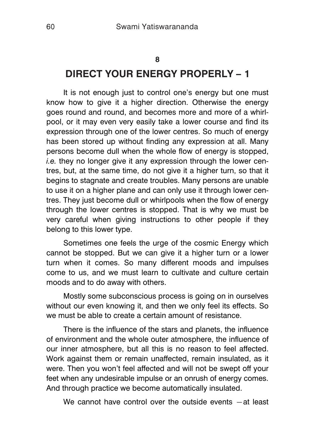#### **8**

## **DIRECT YOUR ENERGY PROPERLY – 1**

It is not enough just to control one's energy but one must know how to give it a higher direction. Otherwise the energy goes round and round, and becomes more and more of a whirlpool, or it may even very easily take a lower course and find its expression through one of the lower centres. So much of energy has been stored up without finding any expression at all. Many persons become dull when the whole flow of energy is stopped, *i.e.* they no longer give it any expression through the lower centres, but, at the same time, do not give it a higher turn, so that it begins to stagnate and create troubles. Many persons are unable to use it on a higher plane and can only use it through lower centres. They just become dull or whirlpools when the flow of energy through the lower centres is stopped. That is why we must be very careful when giving instructions to other people if they belong to this lower type.

Sometimes one feels the urge of the cosmic Energy which cannot be stopped. But we can give it a higher turn or a lower turn when it comes. So many different moods and impulses come to us, and we must learn to cultivate and culture certain moods and to do away with others.

Mostly some subconscious process is going on in ourselves without our even knowing it, and then we only feel its effects. So we must be able to create a certain amount of resistance.

There is the influence of the stars and planets, the influence of environment and the whole outer atmosphere, the influence of our inner atmosphere, but all this is no reason to feel affected. Work against them or remain unaffected, remain insulated, as it were. Then you won't feel affected and will not be swept off your feet when any undesirable impulse or an onrush of energy comes. And through practice we become automatically insulated.

We cannot have control over the outside events - at least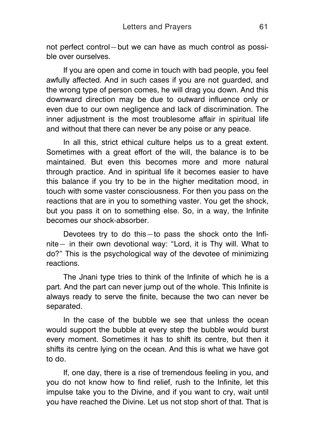not perfect control—but we can have as much control as possible over ourselves.

If you are open and come in touch with bad people, you feel awfully affected. And in such cases if you are not guarded, and the wrong type of person comes, he will drag you down. And this downward direction may be due to outward influence only or even due to our own negligence and lack of discrimination. The inner adjustment is the most troublesome affair in spiritual life and without that there can never be any poise or any peace.

In all this, strict ethical culture helps us to a great extent. Sometimes with a great effort of the will, the balance is to be maintained. But even this becomes more and more natural through practice. And in spiritual life it becomes easier to have this balance if you try to be in the higher meditation mood, in touch with some vaster consciousness. For then you pass on the reactions that are in you to something vaster. You get the shock, but you pass it on to something else. So, in a way, the Infinite becomes our shock-absorber.

Devotees try to do this—to pass the shock onto the Infinite— in their own devotional way: "Lord, it is Thy will. What to do?" This is the psychological way of the devotee of minimizing reactions.

The Jnani type tries to think of the Infinite of which he is a part. And the part can never jump out of the whole. This Infinite is always ready to serve the finite, because the two can never be separated.

In the case of the bubble we see that unless the ocean would support the bubble at every step the bubble would burst every moment. Sometimes it has to shift its centre, but then it shifts its centre lying on the ocean. And this is what we have got to do.

If, one day, there is a rise of tremendous feeling in you, and you do not know how to find relief, rush to the Infinite, let this impulse take you to the Divine, and if you want to cry, wait until you have reached the Divine. Let us not stop short of that. That is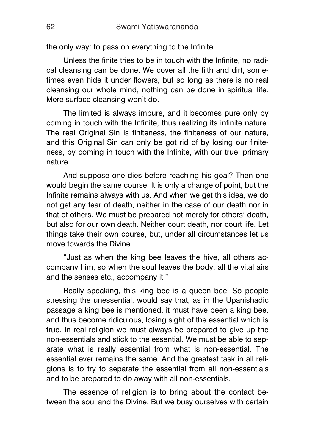the only way: to pass on everything to the Infinite.

Unless the finite tries to be in touch with the Infinite, no radical cleansing can be done. We cover all the filth and dirt, sometimes even hide it under flowers, but so long as there is no real cleansing our whole mind, nothing can be done in spiritual life. Mere surface cleansing won't do.

The limited is always impure, and it becomes pure only by coming in touch with the Infinite, thus realizing its infinite nature. The real Original Sin is finiteness, the finiteness of our nature, and this Original Sin can only be got rid of by losing our finiteness, by coming in touch with the Infinite, with our true, primary nature.

And suppose one dies before reaching his goal? Then one would begin the same course. It is only a change of point, but the Infinite remains always with us. And when we get this idea, we do not get any fear of death, neither in the case of our death nor in that of others. We must be prepared not merely for others' death, but also for our own death. Neither court death, nor court life. Let things take their own course, but, under all circumstances let us move towards the Divine.

"Just as when the king bee leaves the hive, all others accompany him, so when the soul leaves the body, all the vital airs and the senses etc., accompany it."

Really speaking, this king bee is a queen bee. So people stressing the unessential, would say that, as in the Upanishadic passage a king bee is mentioned, it must have been a king bee, and thus become ridiculous, losing sight of the essential which is true. In real religion we must always be prepared to give up the non-essentials and stick to the essential. We must be able to separate what is really essential from what is non-essential. The essential ever remains the same. And the greatest task in all religions is to try to separate the essential from all non-essentials and to be prepared to do away with all non-essentials.

The essence of religion is to bring about the contact between the soul and the Divine. But we busy ourselves with certain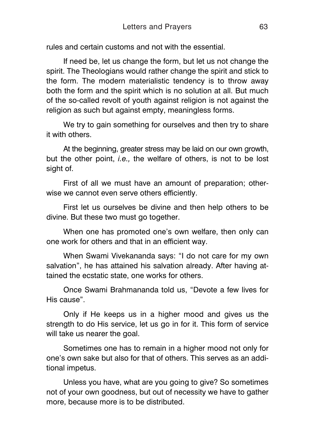rules and certain customs and not with the essential.

If need be, let us change the form, but let us not change the spirit. The Theologians would rather change the spirit and stick to the form. The modern materialistic tendency is to throw away both the form and the spirit which is no solution at all. But much of the so-called revolt of youth against religion is not against the religion as such but against empty, meaningless forms.

We try to gain something for ourselves and then try to share it with others.

At the beginning, greater stress may be laid on our own growth, but the other point, *i.e.,* the welfare of others, is not to be lost sight of.

First of all we must have an amount of preparation; otherwise we cannot even serve others efficiently.

First let us ourselves be divine and then help others to be divine. But these two must go together.

When one has promoted one's own welfare, then only can one work for others and that in an efficient way.

When Swami Vivekananda says: "I do not care for my own salvation", he has attained his salvation already. After having attained the ecstatic state, one works for others.

Once Swami Brahmananda told us, "Devote a few lives for His cause".

Only if He keeps us in a higher mood and gives us the strength to do His service, let us go in for it. This form of service will take us nearer the goal.

Sometimes one has to remain in a higher mood not only for one's own sake but also for that of others. This serves as an additional impetus.

Unless you have, what are you going to give? So sometimes not of your own goodness, but out of necessity we have to gather more, because more is to be distributed.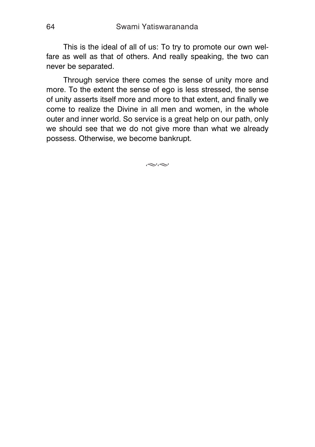This is the ideal of all of us: To try to promote our own welfare as well as that of others. And really speaking, the two can never be separated.

Through service there comes the sense of unity more and more. To the extent the sense of ego is less stressed, the sense of unity asserts itself more and more to that extent, and finally we come to realize the Divine in all men and women, in the whole outer and inner world. So service is a great help on our path, only we should see that we do not give more than what we already possess. Otherwise, we become bankrupt.

 $\approx$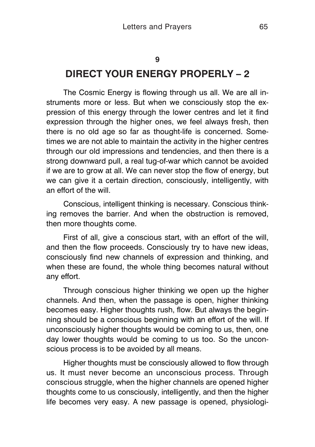### **9**

## **DIRECT YOUR ENERGY PROPERLY – 2**

The Cosmic Energy is flowing through us all. We are all instruments more or less. But when we consciously stop the expression of this energy through the lower centres and let it find expression through the higher ones, we feel always fresh, then there is no old age so far as thought-life is concerned. Sometimes we are not able to maintain the activity in the higher centres through our old impressions and tendencies, and then there is a strong downward pull, a real tug-of-war which cannot be avoided if we are to grow at all. We can never stop the flow of energy, but we can give it a certain direction, consciously, intelligently, with an effort of the will.

Conscious, intelligent thinking is necessary. Conscious thinking removes the barrier. And when the obstruction is removed, then more thoughts come.

First of all, give a conscious start, with an effort of the will, and then the flow proceeds. Consciously try to have new ideas, consciously find new channels of expression and thinking, and when these are found, the whole thing becomes natural without any effort.

Through conscious higher thinking we open up the higher channels. And then, when the passage is open, higher thinking becomes easy. Higher thoughts rush, flow. But always the beginning should be a conscious beginning with an effort of the will. If unconsciously higher thoughts would be coming to us, then, one day lower thoughts would be coming to us too. So the unconscious process is to be avoided by all means.

Higher thoughts must be consciously allowed to flow through us. It must never become an unconscious process. Through conscious struggle, when the higher channels are opened higher thoughts come to us consciously, intelligently, and then the higher life becomes very easy. A new passage is opened, physiologi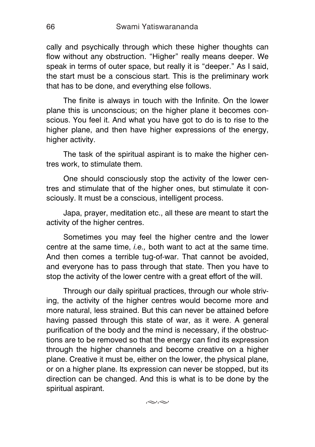cally and psychically through which these higher thoughts can flow without any obstruction. "Higher" really means deeper. We speak in terms of outer space, but really it is "deeper." As I said, the start must be a conscious start. This is the preliminary work that has to be done, and everything else follows.

The finite is always in touch with the Infinite. On the lower plane this is unconscious; on the higher plane it becomes conscious. You feel it. And what you have got to do is to rise to the higher plane, and then have higher expressions of the energy, higher activity.

The task of the spiritual aspirant is to make the higher centres work, to stimulate them.

One should consciously stop the activity of the lower centres and stimulate that of the higher ones, but stimulate it consciously. It must be a conscious, intelligent process.

Japa, prayer, meditation etc., all these are meant to start the activity of the higher centres.

Sometimes you may feel the higher centre and the lower centre at the same time, *i.e.,* both want to act at the same time. And then comes a terrible tug-of-war. That cannot be avoided, and everyone has to pass through that state. Then you have to stop the activity of the lower centre with a great effort of the will.

Through our daily spiritual practices, through our whole striving, the activity of the higher centres would become more and more natural, less strained. But this can never be attained before having passed through this state of war, as it were. A general purification of the body and the mind is necessary, if the obstructions are to be removed so that the energy can find its expression through the higher channels and become creative on a higher plane. Creative it must be, either on the lower, the physical plane, or on a higher plane. Its expression can never be stopped, but its direction can be changed. And this is what is to be done by the spiritual aspirant.

 $\approx$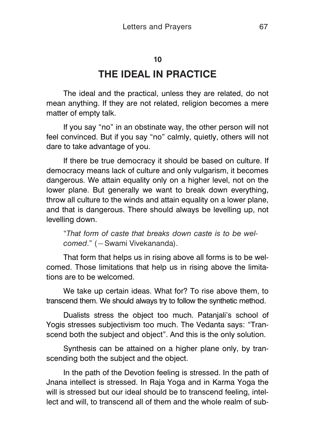## **10**

## **THE IDEAL IN PRACTICE**

The ideal and the practical, unless they are related, do not mean anything. If they are not related, religion becomes a mere matter of empty talk.

If you say "no" in an obstinate way, the other person will not feel convinced. But if you say "no" calmly, quietly, others will not dare to take advantage of you.

If there be true democracy it should be based on culture. If democracy means lack of culture and only vulgarism, it becomes dangerous. We attain equality only on a higher level, not on the lower plane. But generally we want to break down everything, throw all culture to the winds and attain equality on a lower plane, and that is dangerous. There should always be levelling up, not levelling down.

"*That form of caste that breaks down caste is to be welcomed*." (—Swami Vivekananda).

That form that helps us in rising above all forms is to be welcomed. Those limitations that help us in rising above the limitations are to be welcomed.

We take up certain ideas. What for? To rise above them, to transcend them. We should always try to follow the synthetic method.

Dualists stress the object too much. Patanjali's school of Yogis stresses subjectivism too much. The Vedanta says: "Transcend both the subject and object". And this is the only solution.

Synthesis can be attained on a higher plane only, by transcending both the subject and the object.

In the path of the Devotion feeling is stressed. In the path of Jnana intellect is stressed. In Raja Yoga and in Karma Yoga the will is stressed but our ideal should be to transcend feeling, intellect and will, to transcend all of them and the whole realm of sub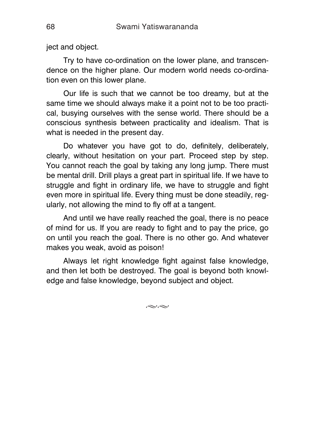ject and object.

Try to have co-ordination on the lower plane, and transcendence on the higher plane. Our modern world needs co-ordination even on this lower plane.

Our life is such that we cannot be too dreamy, but at the same time we should always make it a point not to be too practical, busying ourselves with the sense world. There should be a conscious synthesis between practicality and idealism. That is what is needed in the present day.

Do whatever you have got to do, definitely, deliberately, clearly, without hesitation on your part. Proceed step by step. You cannot reach the goal by taking any long jump. There must be mental drill. Drill plays a great part in spiritual life. If we have to struggle and fight in ordinary life, we have to struggle and fight even more in spiritual life. Every thing must be done steadily, regularly, not allowing the mind to fly off at a tangent.

And until we have really reached the goal, there is no peace of mind for us. If you are ready to fight and to pay the price, go on until you reach the goal. There is no other go. And whatever makes you weak, avoid as poison!

Always let right knowledge fight against false knowledge, and then let both be destroyed. The goal is beyond both knowledge and false knowledge, beyond subject and object.

 $\approx$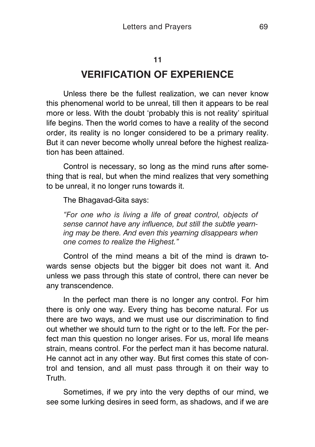#### **11**

## **VERIFICATION OF EXPERIENCE**

Unless there be the fullest realization, we can never know this phenomenal world to be unreal, till then it appears to be real more or less. With the doubt 'probably this is not reality' spiritual life begins. Then the world comes to have a reality of the second order, its reality is no longer considered to be a primary reality. But it can never become wholly unreal before the highest realization has been attained.

Control is necessary, so long as the mind runs after something that is real, but when the mind realizes that very something to be unreal, it no longer runs towards it.

The Bhagavad-Gita says:

*"For one who is living a life of great control, objects of sense cannot have any influence, but still the subtle yearning may be there. And even this yearning disappears when one comes to realize the Highest."*

Control of the mind means a bit of the mind is drawn towards sense objects but the bigger bit does not want it. And unless we pass through this state of control, there can never be any transcendence.

In the perfect man there is no longer any control. For him there is only one way. Every thing has become natural. For us there are two ways, and we must use our discrimination to find out whether we should turn to the right or to the left. For the perfect man this question no longer arises. For us, moral life means strain, means control. For the perfect man it has become natural. He cannot act in any other way. But first comes this state of control and tension, and all must pass through it on their way to **Truth** 

Sometimes, if we pry into the very depths of our mind, we see some lurking desires in seed form, as shadows, and if we are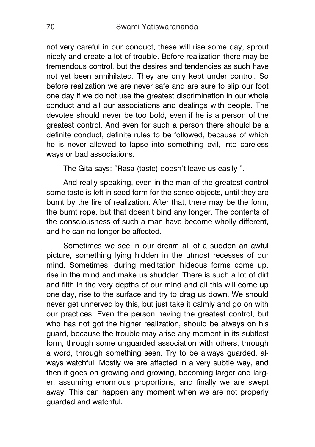not very careful in our conduct, these will rise some day, sprout nicely and create a lot of trouble. Before realization there may be tremendous control, but the desires and tendencies as such have not yet been annihilated. They are only kept under control. So before realization we are never safe and are sure to slip our foot one day if we do not use the greatest discrimination in our whole conduct and all our associations and dealings with people. The devotee should never be too bold, even if he is a person of the greatest control. And even for such a person there should be a definite conduct, definite rules to be followed, because of which he is never allowed to lapse into something evil, into careless ways or bad associations.

The Gita says: "Rasa (taste) doesn't leave us easily ".

And really speaking, even in the man of the greatest control some taste is left in seed form for the sense objects, until they are burnt by the fire of realization. After that, there may be the form, the burnt rope, but that doesn't bind any longer. The contents of the consciousness of such a man have become wholly different, and he can no longer be affected.

Sometimes we see in our dream all of a sudden an awful picture, something lying hidden in the utmost recesses of our mind. Sometimes, during meditation hideous forms come up, rise in the mind and make us shudder. There is such a lot of dirt and filth in the very depths of our mind and all this will come up one day, rise to the surface and try to drag us down. We should never get unnerved by this, but just take it calmly and go on with our practices. Even the person having the greatest control, but who has not got the higher realization, should be always on his guard, because the trouble may arise any moment in its subtlest form, through some unguarded association with others, through a word, through something seen. Try to be always guarded, always watchful. Mostly we are affected in a very subtle way, and then it goes on growing and growing, becoming larger and larger, assuming enormous proportions, and finally we are swept away. This can happen any moment when we are not properly guarded and watchful.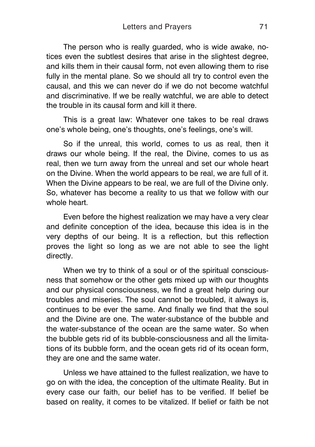The person who is really guarded, who is wide awake, notices even the subtlest desires that arise in the slightest degree, and kills them in their causal form, not even allowing them to rise fully in the mental plane. So we should all try to control even the causal, and this we can never do if we do not become watchful and discriminative. If we be really watchful, we are able to detect the trouble in its causal form and kill it there.

This is a great law: Whatever one takes to be real draws one's whole being, one's thoughts, one's feelings, one's will.

So if the unreal, this world, comes to us as real, then it draws our whole being. If the real, the Divine, comes to us as real, then we turn away from the unreal and set our whole heart on the Divine. When the world appears to be real, we are full of it. When the Divine appears to be real, we are full of the Divine only. So, whatever has become a reality to us that we follow with our whole heart.

Even before the highest realization we may have a very clear and definite conception of the idea, because this idea is in the very depths of our being. It is a reflection, but this reflection proves the light so long as we are not able to see the light directly.

When we try to think of a soul or of the spiritual consciousness that somehow or the other gets mixed up with our thoughts and our physical consciousness, we find a great help during our troubles and miseries. The soul cannot be troubled, it always is, continues to be ever the same. And finally we find that the soul and the Divine are one. The water-substance of the bubble and the water-substance of the ocean are the same water. So when the bubble gets rid of its bubble-consciousness and all the limitations of its bubble form, and the ocean gets rid of its ocean form, they are one and the same water.

Unless we have attained to the fullest realization, we have to go on with the idea, the conception of the ultimate Reality. But in every case our faith, our belief has to be verified. If belief be based on reality, it comes to be vitalized. If belief or faith be not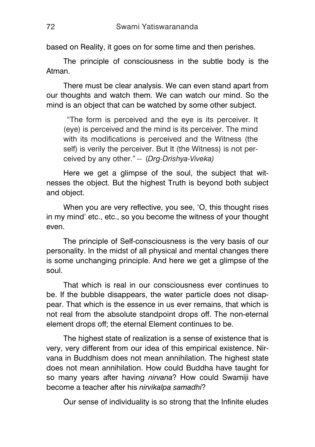based on Reality, it goes on for some time and then perishes.

The principle of consciousness in the subtle body is the Atman.

There must be clear analysis. We can even stand apart from our thoughts and watch them. We can watch our mind. So the mind is an object that can be watched by some other subject.

"The form is perceived and the eye is its perceiver. It (eye) is perceived and the mind is its perceiver. The mind with its modifications is perceived and the Witness (the self) is verily the perceiver. But It (the Witness) is not perceived by any other."— (*Drg-Drishya-Viveka)*

Here we get a glimpse of the soul, the subject that witnesses the object. But the highest Truth is beyond both subject and object.

When you are very reflective, you see, 'O, this thought rises in my mind' etc., etc., so you become the witness of your thought even.

The principle of Self-consciousness is the very basis of our personality. In the midst of all physical and mental changes there is some unchanging principle. And here we get a glimpse of the soul.

That which is real in our consciousness ever continues to be. If the bubble disappears, the water particle does not disappear. That which is the essence in us ever remains, that which is not real from the absolute standpoint drops off. The non-eternal element drops off; the eternal Element continues to be.

The highest state of realization is a sense of existence that is very, very different from our idea of this empirical existence. Nirvana in Buddhism does not mean annihilation. The highest state does not mean annihilation. How could Buddha have taught for so many years after having *nirvana*? How could Swamiji have become a teacher after his *nirvikalpa samadhi*?

Our sense of individuality is so strong that the Infinite eludes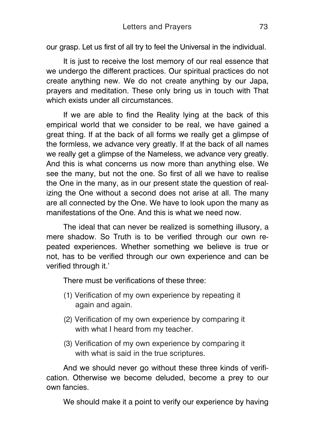our grasp. Let us first of all try to feel the Universal in the individual.

It is just to receive the lost memory of our real essence that we undergo the different practices. Our spiritual practices do not create anything new. We do not create anything by our Japa, prayers and meditation. These only bring us in touch with That which exists under all circumstances.

If we are able to find the Reality lying at the back of this empirical world that we consider to be real, we have gained a great thing. If at the back of all forms we really get a glimpse of the formless, we advance very greatly. If at the back of all names we really get a glimpse of the Nameless, we advance very greatly. And this is what concerns us now more than anything else. We see the many, but not the one. So first of all we have to realise the One in the many, as in our present state the question of realizing the One without a second does not arise at all. The many are all connected by the One. We have to look upon the many as manifestations of the One. And this is what we need now.

The ideal that can never be realized is something illusory, a mere shadow. So Truth is to be verified through our own repeated experiences. Whether something we believe is true or not, has to be verified through our own experience and can be verified through it.'

There must be verifications of these three:

- (1) Verification of my own experience by repeating it again and again.
- (2) Verification of my own experience by comparing it with what I heard from my teacher.
- (3) Verification of my own experience by comparing it with what is said in the true scriptures.

And we should never go without these three kinds of verification. Otherwise we become deluded, become a prey to our own fancies.

We should make it a point to verify our experience by having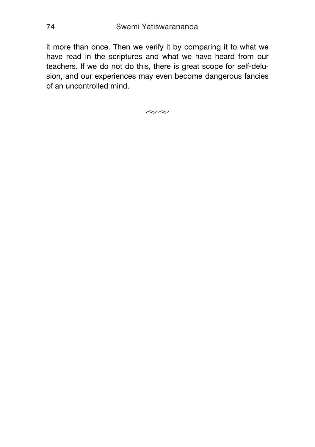it more than once. Then we verify it by comparing it to what we have read in the scriptures and what we have heard from our teachers. If we do not do this, there is great scope for self-delusion, and our experiences may even become dangerous fancies of an uncontrolled mind.

 $\approx$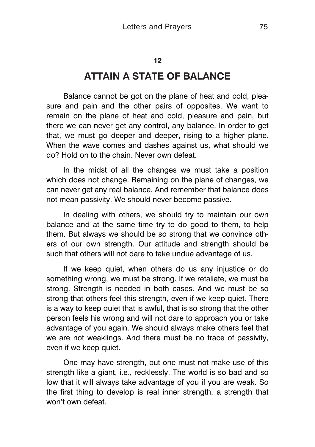# **ATTAIN A STATE OF BALANCE**

Balance cannot be got on the plane of heat and cold, pleasure and pain and the other pairs of opposites. We want to remain on the plane of heat and cold, pleasure and pain, but there we can never get any control, any balance. In order to get that, we must go deeper and deeper, rising to a higher plane. When the wave comes and dashes against us, what should we do? Hold on to the chain. Never own defeat.

In the midst of all the changes we must take a position which does not change. Remaining on the plane of changes, we can never get any real balance. And remember that balance does not mean passivity. We should never become passive.

In dealing with others, we should try to maintain our own balance and at the same time try to do good to them, to help them. But always we should be so strong that we convince others of our own strength. Our attitude and strength should be such that others will not dare to take undue advantage of us.

If we keep quiet, when others do us any injustice or do something wrong, we must be strong. If we retaliate, we must be strong. Strength is needed in both cases. And we must be so strong that others feel this strength, even if we keep quiet. There is a way to keep quiet that is awful, that is so strong that the other person feels his wrong and will not dare to approach you or take advantage of you again. We should always make others feel that we are not weaklings. And there must be no trace of passivity, even if we keep quiet.

One may have strength, but one must not make use of this strength like a giant, i.e*.,* recklessly. The world is so bad and so low that it will always take advantage of you if you are weak. So the first thing to develop is real inner strength, a strength that won't own defeat.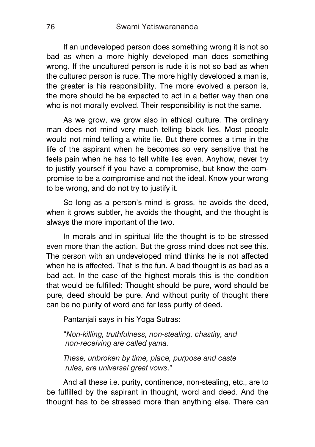If an undeveloped person does something wrong it is not so bad as when a more highly developed man does something wrong. If the uncultured person is rude it is not so bad as when the cultured person is rude. The more highly developed a man is, the greater is his responsibility. The more evolved a person is, the more should he be expected to act in a better way than one who is not morally evolved. Their responsibility is not the same.

As we grow, we grow also in ethical culture. The ordinary man does not mind very much telling black lies. Most people would not mind telling a white lie. But there comes a time in the life of the aspirant when he becomes so very sensitive that he feels pain when he has to tell white lies even. Anyhow, never try to justify yourself if you have a compromise, but know the compromise to be a compromise and not the ideal. Know your wrong to be wrong, and do not try to justify it.

So long as a person's mind is gross, he avoids the deed, when it grows subtler, he avoids the thought, and the thought is always the more important of the two.

In morals and in spiritual life the thought is to be stressed even more than the action. But the gross mind does not see this. The person with an undeveloped mind thinks he is not affected when he is affected. That is the fun. A bad thought is as bad as a bad act. In the case of the highest morals this is the condition that would be fulfilled: Thought should be pure, word should be pure, deed should be pure. And without purity of thought there can be no purity of word and far less purity of deed.

Pantanjali says in his Yoga Sutras:

"*Non-killing, truthfulness, non-stealing, chastity, and non-receiving are called yama.*

*These, unbroken by time, place, purpose and caste rules, are universal great vows*."

And all these i.e. purity, continence, non-stealing, etc., are to be fulfilled by the aspirant in thought, word and deed. And the thought has to be stressed more than anything else. There can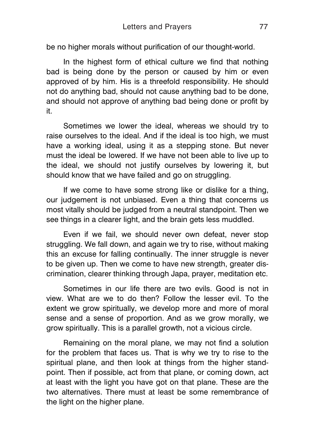be no higher morals without purification of our thought-world.

In the highest form of ethical culture we find that nothing bad is being done by the person or caused by him or even approved of by him. His is a threefold responsibility. He should not do anything bad, should not cause anything bad to be done, and should not approve of anything bad being done or profit by it.

Sometimes we lower the ideal, whereas we should try to raise ourselves to the ideal. And if the ideal is too high, we must have a working ideal, using it as a stepping stone. But never must the ideal be lowered. If we have not been able to live up to the ideal, we should not justify ourselves by lowering it, but should know that we have failed and go on struggling.

If we come to have some strong like or dislike for a thing, our judgement is not unbiased. Even a thing that concerns us most vitally should be judged from a neutral standpoint. Then we see things in a clearer light, and the brain gets less muddled.

Even if we fail, we should never own defeat, never stop struggling. We fall down, and again we try to rise, without making this an excuse for falling continually. The inner struggle is never to be given up. Then we come to have new strength, greater discrimination, clearer thinking through Japa, prayer, meditation etc.

Sometimes in our life there are two evils. Good is not in view. What are we to do then? Follow the lesser evil. To the extent we grow spiritually, we develop more and more of moral sense and a sense of proportion. And as we grow morally, we grow spiritually. This is a parallel growth, not a vicious circle.

Remaining on the moral plane, we may not find a solution for the problem that faces us. That is why we try to rise to the spiritual plane, and then look at things from the higher standpoint. Then if possible, act from that plane, or coming down, act at least with the light you have got on that plane. These are the two alternatives. There must at least be some remembrance of the light on the higher plane.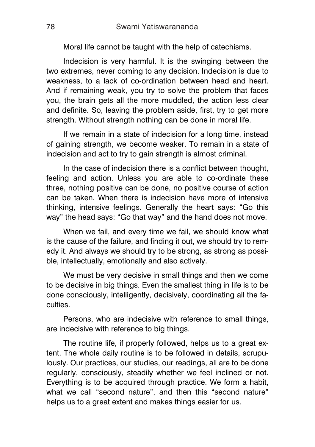Moral life cannot be taught with the help of catechisms.

Indecision is very harmful. It is the swinging between the two extremes, never coming to any decision. Indecision is due to weakness, to a lack of co-ordination between head and heart. And if remaining weak, you try to solve the problem that faces you, the brain gets all the more muddled, the action less clear and definite. So, leaving the problem aside, first, try to get more strength. Without strength nothing can be done in moral life.

If we remain in a state of indecision for a long time, instead of gaining strength, we become weaker. To remain in a state of indecision and act to try to gain strength is almost criminal.

In the case of indecision there is a conflict between thought, feeling and action. Unless you are able to co-ordinate these three, nothing positive can be done, no positive course of action can be taken. When there is indecision have more of intensive thinking, intensive feelings. Generally the heart says: "Go this way" the head says: "Go that way" and the hand does not move.

When we fail, and every time we fail, we should know what is the cause of the failure, and finding it out, we should try to remedy it. And always we should try to be strong, as strong as possible, intellectually, emotionally and also actively.

We must be very decisive in small things and then we come to be decisive in big things. Even the smallest thing in life is to be done consciously, intelligently, decisively, coordinating all the faculties.

Persons, who are indecisive with reference to small things, are indecisive with reference to big things.

The routine life, if properly followed, helps us to a great extent. The whole daily routine is to be followed in details, scrupulously. Our practices, our studies, our readings, all are to be done regularly, consciously, steadily whether we feel inclined or not. Everything is to be acquired through practice. We form a habit, what we call "second nature", and then this "second nature" helps us to a great extent and makes things easier for us.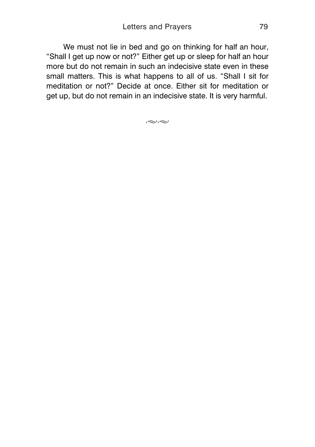We must not lie in bed and go on thinking for half an hour, "Shall I get up now or not?" Either get up or sleep for half an hour more but do not remain in such an indecisive state even in these small matters. This is what happens to all of us. "Shall I sit for meditation or not?" Decide at once. Either sit for meditation or get up, but do not remain in an indecisive state. It is very harmful.

 $\approx$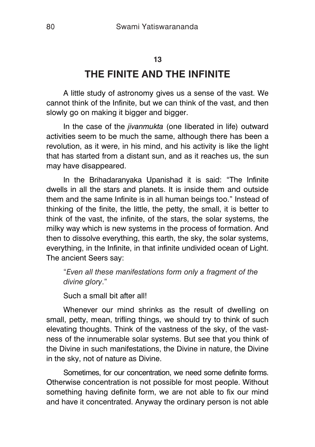### **13**

# **THE FINITE AND THE INFINITE**

A little study of astronomy gives us a sense of the vast. We cannot think of the Infinite, but we can think of the vast, and then slowly go on making it bigger and bigger.

In the case of the *jivanmukta* (one liberated in life) outward activities seem to be much the same, although there has been a revolution, as it were, in his mind, and his activity is like the light that has started from a distant sun, and as it reaches us, the sun may have disappeared.

In the Brihadaranyaka Upanishad it is said: "The Infinite dwells in all the stars and planets. It is inside them and outside them and the same Infinite is in all human beings too." Instead of thinking of the finite, the little, the petty, the small, it is better to think of the vast, the infinite, of the stars, the solar systems, the milky way which is new systems in the process of formation. And then to dissolve everything, this earth, the sky, the solar systems, everything, in the Infinite, in that infinite undivided ocean of Light. The ancient Seers say:

"*Even all these manifestations form only a fragment of the divine glory*."

Such a small bit after all!

Whenever our mind shrinks as the result of dwelling on small, petty, mean, trifling things, we should try to think of such elevating thoughts. Think of the vastness of the sky, of the vastness of the innumerable solar systems. But see that you think of the Divine in such manifestations, the Divine in nature, the Divine in the sky, not of nature as Divine.

Sometimes, for our concentration, we need some definite forms. Otherwise concentration is not possible for most people. Without something having definite form, we are not able to fix our mind and have it concentrated. Anyway the ordinary person is not able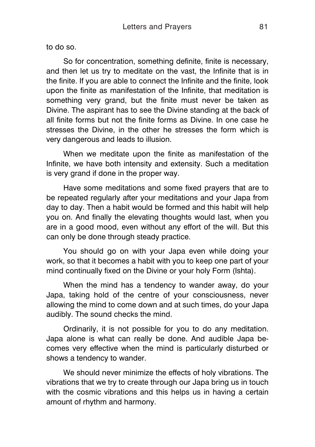to do so.

So for concentration, something definite, finite is necessary, and then let us try to meditate on the vast, the Infinite that is in the finite. If you are able to connect the Infinite and the finite, look upon the finite as manifestation of the Infinite, that meditation is something very grand, but the finite must never be taken as Divine. The aspirant has to see the Divine standing at the back of all finite forms but not the finite forms as Divine. In one case he stresses the Divine, in the other he stresses the form which is very dangerous and leads to illusion.

When we meditate upon the finite as manifestation of the Infinite, we have both intensity and extensity. Such a meditation is very grand if done in the proper way.

Have some meditations and some fixed prayers that are to be repeated regularly after your meditations and your Japa from day to day. Then a habit would be formed and this habit will help you on. And finally the elevating thoughts would last, when you are in a good mood, even without any effort of the will. But this can only be done through steady practice.

You should go on with your Japa even while doing your work, so that it becomes a habit with you to keep one part of your mind continually fixed on the Divine or your holy Form (Ishta).

When the mind has a tendency to wander away, do your Japa, taking hold of the centre of your consciousness, never allowing the mind to come down and at such times, do your Japa audibly. The sound checks the mind.

Ordinarily, it is not possible for you to do any meditation. Japa alone is what can really be done. And audible Japa becomes very effective when the mind is particularly disturbed or shows a tendency to wander.

We should never minimize the effects of holy vibrations. The vibrations that we try to create through our Japa bring us in touch with the cosmic vibrations and this helps us in having a certain amount of rhythm and harmony.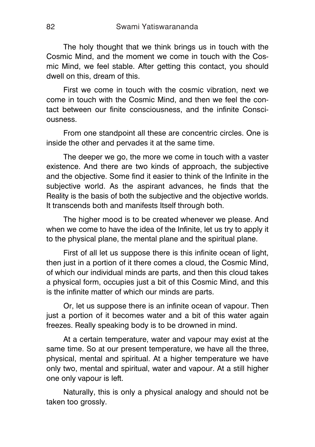The holy thought that we think brings us in touch with the Cosmic Mind, and the moment we come in touch with the Cosmic Mind, we feel stable. After getting this contact, you should dwell on this, dream of this.

First we come in touch with the cosmic vibration, next we come in touch with the Cosmic Mind, and then we feel the contact between our finite consciousness, and the infinite Consciousness.

From one standpoint all these are concentric circles. One is inside the other and pervades it at the same time.

The deeper we go, the more we come in touch with a vaster existence. And there are two kinds of approach, the subjective and the objective. Some find it easier to think of the Infinite in the subjective world. As the aspirant advances, he finds that the Reality is the basis of both the subjective and the objective worlds. It transcends both and manifests Itself through both.

The higher mood is to be created whenever we please. And when we come to have the idea of the Infinite, let us try to apply it to the physical plane, the mental plane and the spiritual plane.

First of all let us suppose there is this infinite ocean of light, then just in a portion of it there comes a cloud, the Cosmic Mind, of which our individual minds are parts, and then this cloud takes a physical form, occupies just a bit of this Cosmic Mind, and this is the infinite matter of which our minds are parts.

Or, let us suppose there is an infinite ocean of vapour. Then just a portion of it becomes water and a bit of this water again freezes. Really speaking body is to be drowned in mind.

At a certain temperature, water and vapour may exist at the same time. So at our present temperature, we have all the three, physical, mental and spiritual. At a higher temperature we have only two, mental and spiritual, water and vapour. At a still higher one only vapour is left.

Naturally, this is only a physical analogy and should not be taken too grossly.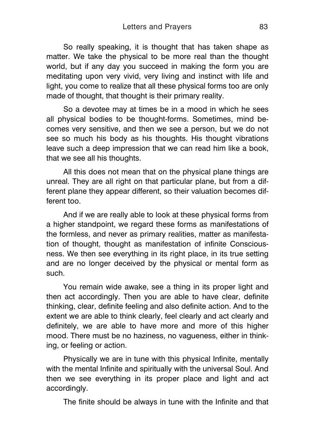So really speaking, it is thought that has taken shape as matter. We take the physical to be more real than the thought world, but if any day you succeed in making the form you are meditating upon very vivid, very living and instinct with life and light, you come to realize that all these physical forms too are only made of thought, that thought is their primary reality.

So a devotee may at times be in a mood in which he sees all physical bodies to be thought-forms. Sometimes, mind becomes very sensitive, and then we see a person, but we do not see so much his body as his thoughts. His thought vibrations leave such a deep impression that we can read him like a book, that we see all his thoughts.

All this does not mean that on the physical plane things are unreal. They are all right on that particular plane, but from a different plane they appear different, so their valuation becomes different too.

And if we are really able to look at these physical forms from a higher standpoint, we regard these forms as manifestations of the formless, and never as primary realities, matter as manifestation of thought, thought as manifestation of infinite Consciousness. We then see everything in its right place, in its true setting and are no longer deceived by the physical or mental form as such.

You remain wide awake, see a thing in its proper light and then act accordingly. Then you are able to have clear, definite thinking, clear, definite feeling and also definite action. And to the extent we are able to think clearly, feel clearly and act clearly and definitely, we are able to have more and more of this higher mood. There must be no haziness, no vagueness, either in thinking, or feeling or action.

Physically we are in tune with this physical Infinite, mentally with the mental Infinite and spiritually with the universal Soul. And then we see everything in its proper place and light and act accordingly.

The finite should be always in tune with the Infinite and that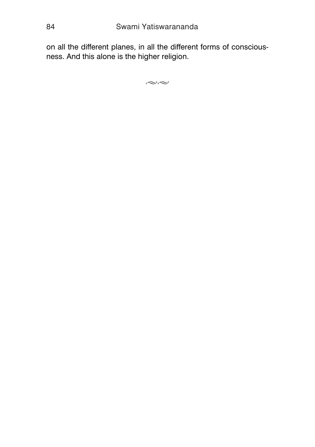on all the different planes, in all the different forms of consciousness. And this alone is the higher religion.

 $\approx$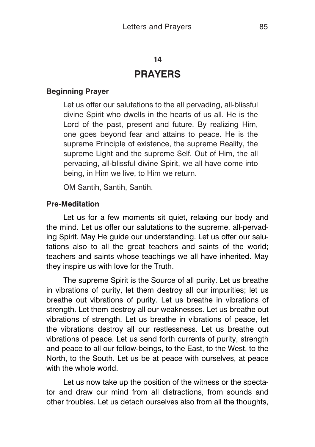## **14**

## **PRAYERS**

## **Beginning Prayer**

Let us offer our salutations to the all pervading, all-blissful divine Spirit who dwells in the hearts of us all. He is the Lord of the past, present and future. By realizing Him, one goes beyond fear and attains to peace. He is the supreme Principle of existence, the supreme Reality, the supreme Light and the supreme Self. Out of Him, the all pervading, all-blissful divine Spirit, we all have come into being, in Him we live, to Him we return.

OM Santih, Santih, Santih.

## **Pre-Meditation**

Let us for a few moments sit quiet, relaxing our body and the mind. Let us offer our salutations to the supreme, all-pervading Spirit. May He guide our understanding. Let us offer our salutations also to all the great teachers and saints of the world; teachers and saints whose teachings we all have inherited. May they inspire us with love for the Truth.

The supreme Spirit is the Source of all purity. Let us breathe in vibrations of purity, let them destroy all our impurities; let us breathe out vibrations of purity. Let us breathe in vibrations of strength. Let them destroy all our weaknesses. Let us breathe out vibrations of strength. Let us breathe in vibrations of peace, let the vibrations destroy all our restlessness. Let us breathe out vibrations of peace. Let us send forth currents of purity, strength and peace to all our fellow-beings, to the East, to the West, to the North, to the South. Let us be at peace with ourselves, at peace with the whole world.

Let us now take up the position of the witness or the spectator and draw our mind from all distractions, from sounds and other troubles. Let us detach ourselves also from all the thoughts,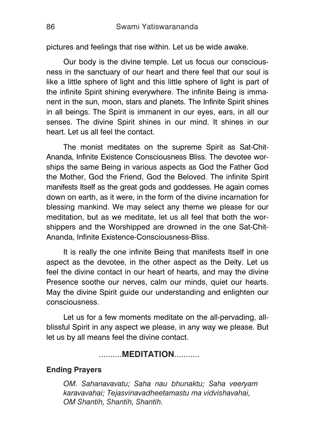pictures and feelings that rise within. Let us be wide awake.

Our body is the divine temple. Let us focus our consciousness in the sanctuary of our heart and there feel that our soul is like a little sphere of light and this little sphere of light is part of the infinite Spirit shining everywhere. The infinite Being is immanent in the sun, moon, stars and planets. The Infinite Spirit shines in all beings. The Spirit is immanent in our eyes, ears, in all our senses. The divine Spirit shines in our mind. It shines in our heart. Let us all feel the contact.

The monist meditates on the supreme Spirit as Sat-Chit-Ananda, Infinite Existence Consciousness Bliss. The devotee worships the same Being in various aspects as God the Father God the Mother, God the Friend, God the Beloved. The infinite Spirit manifests Itself as the great gods and goddesses. He again comes down on earth, as it were, in the form of the divine incarnation for blessing mankind. We may select any theme we please for our meditation, but as we meditate, let us all feel that both the worshippers and the Worshipped are drowned in the one Sat-Chit-Ananda, Infinite Existence-Consciousness-Bliss.

It is really the one infinite Being that manifests Itself in one aspect as the devotee, in the other aspect as the Deity. Let us feel the divine contact in our heart of hearts, and may the divine Presence soothe our nerves, calm our minds, quiet our hearts. May the divine Spirit guide our understanding and enlighten our consciousness.

Let us for a few moments meditate on the all-pervading, allblissful Spirit in any aspect we please, in any way we please. But let us by all means feel the divine contact.

### ..........**MEDITATION**...........

#### **Ending Prayers**

*OM. Sahanavavatu; Saha nau bhunaktu; Saha veeryam karavavahai; Tejasvinavadheetamastu ma vidvishavahai, OM Shantih, Shantih, Shantih.*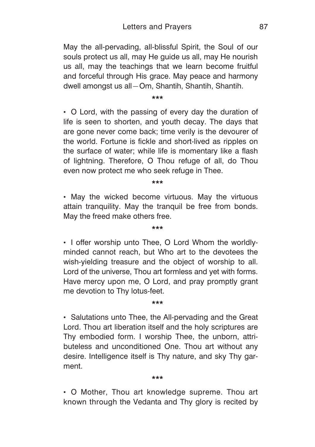May the all-pervading, all-blissful Spirit, the Soul of our souls protect us all, may He guide us all, may He nourish us all, may the teachings that we learn become fruitful and forceful through His grace. May peace and harmony dwell amongst us all—Om, Shantih, Shantih, Shantih.

**\*\*\***

 O Lord, with the passing of every day the duration of life is seen to shorten, and youth decay. The days that are gone never come back; time verily is the devourer of the world. Fortune is fickle and short-lived as ripples on the surface of water; while life is momentary like a flash of lightning. Therefore, O Thou refuge of all, do Thou even now protect me who seek refuge in Thee.

**\*\*\***

• May the wicked become virtuous. May the virtuous attain tranquility. May the tranquil be free from bonds. May the freed make others free.

**\*\*\***

• I offer worship unto Thee, O Lord Whom the worldlyminded cannot reach, but Who art to the devotees the wish-yielding treasure and the object of worship to all. Lord of the universe, Thou art formless and yet with forms. Have mercy upon me, O Lord, and pray promptly grant me devotion to Thy lotus-feet.

**\*\*\***

• Salutations unto Thee, the All-pervading and the Great Lord. Thou art liberation itself and the holy scriptures are Thy embodied form. I worship Thee, the unborn, attributeless and unconditioned One. Thou art without any desire. Intelligence itself is Thy nature, and sky Thy garment.

#### **\*\*\***

 O Mother, Thou art knowledge supreme. Thou art known through the Vedanta and Thy glory is recited by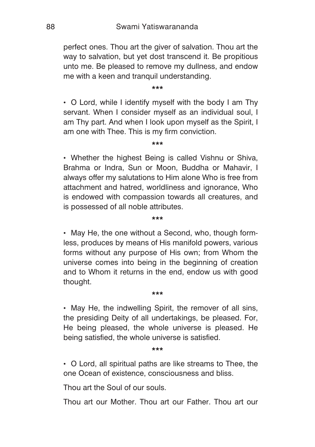perfect ones. Thou art the giver of salvation. Thou art the way to salvation, but yet dost transcend it. Be propitious unto me. Be pleased to remove my dullness, and endow me with a keen and tranquil understanding.

**\*\*\***

 O Lord, while I identify myself with the body I am Thy servant. When I consider myself as an individual soul, I am Thy part. And when I look upon myself as the Spirit, I am one with Thee. This is my firm conviction.

**\*\*\***

 Whether the highest Being is called Vishnu or Shiva, Brahma or Indra, Sun or Moon, Buddha or Mahavir, I always offer my salutations to Him alone Who is free from attachment and hatred, worldliness and ignorance, Who is endowed with compassion towards all creatures, and is possessed of all noble attributes.

#### **\*\*\***

• May He, the one without a Second, who, though formless, produces by means of His manifold powers, various forms without any purpose of His own; from Whom the universe comes into being in the beginning of creation and to Whom it returns in the end, endow us with good thought.

#### **\*\*\***

 May He, the indwelling Spirit, the remover of all sins, the presiding Deity of all undertakings, be pleased. For, He being pleased, the whole universe is pleased. He being satisfied, the whole universe is satisfied.

#### **\*\*\***

 O Lord, all spiritual paths are like streams to Thee, the one Ocean of existence, consciousness and bliss.

Thou art the Soul of our souls.

Thou art our Mother. Thou art our Father. Thou art our